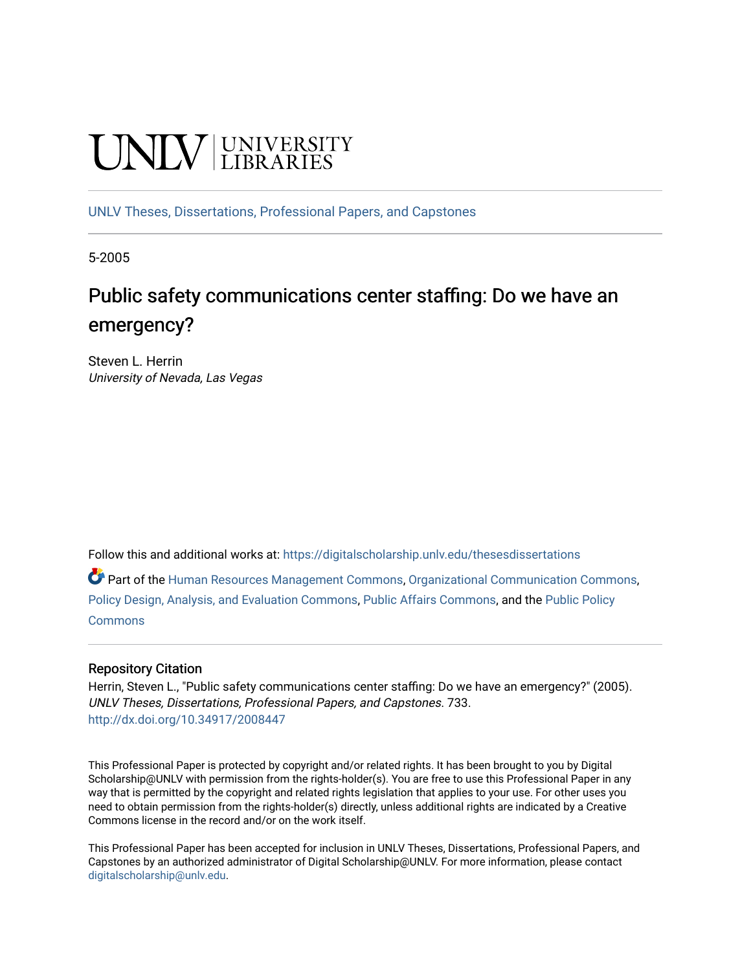# **UNIVERSITY**

[UNLV Theses, Dissertations, Professional Papers, and Capstones](https://digitalscholarship.unlv.edu/thesesdissertations)

5-2005

# Public safety communications center staffing: Do we have an emergency?

Steven L. Herrin University of Nevada, Las Vegas

Follow this and additional works at: [https://digitalscholarship.unlv.edu/thesesdissertations](https://digitalscholarship.unlv.edu/thesesdissertations?utm_source=digitalscholarship.unlv.edu%2Fthesesdissertations%2F733&utm_medium=PDF&utm_campaign=PDFCoverPages)

Part of the [Human Resources Management Commons,](http://network.bepress.com/hgg/discipline/633?utm_source=digitalscholarship.unlv.edu%2Fthesesdissertations%2F733&utm_medium=PDF&utm_campaign=PDFCoverPages) [Organizational Communication Commons](http://network.bepress.com/hgg/discipline/335?utm_source=digitalscholarship.unlv.edu%2Fthesesdissertations%2F733&utm_medium=PDF&utm_campaign=PDFCoverPages), [Policy Design, Analysis, and Evaluation Commons,](http://network.bepress.com/hgg/discipline/1032?utm_source=digitalscholarship.unlv.edu%2Fthesesdissertations%2F733&utm_medium=PDF&utm_campaign=PDFCoverPages) [Public Affairs Commons,](http://network.bepress.com/hgg/discipline/399?utm_source=digitalscholarship.unlv.edu%2Fthesesdissertations%2F733&utm_medium=PDF&utm_campaign=PDFCoverPages) and the [Public Policy](http://network.bepress.com/hgg/discipline/400?utm_source=digitalscholarship.unlv.edu%2Fthesesdissertations%2F733&utm_medium=PDF&utm_campaign=PDFCoverPages)  **[Commons](http://network.bepress.com/hgg/discipline/400?utm_source=digitalscholarship.unlv.edu%2Fthesesdissertations%2F733&utm_medium=PDF&utm_campaign=PDFCoverPages)** 

### Repository Citation

Herrin, Steven L., "Public safety communications center staffing: Do we have an emergency?" (2005). UNLV Theses, Dissertations, Professional Papers, and Capstones. 733. <http://dx.doi.org/10.34917/2008447>

This Professional Paper is protected by copyright and/or related rights. It has been brought to you by Digital Scholarship@UNLV with permission from the rights-holder(s). You are free to use this Professional Paper in any way that is permitted by the copyright and related rights legislation that applies to your use. For other uses you need to obtain permission from the rights-holder(s) directly, unless additional rights are indicated by a Creative Commons license in the record and/or on the work itself.

This Professional Paper has been accepted for inclusion in UNLV Theses, Dissertations, Professional Papers, and Capstones by an authorized administrator of Digital Scholarship@UNLV. For more information, please contact [digitalscholarship@unlv.edu](mailto:digitalscholarship@unlv.edu).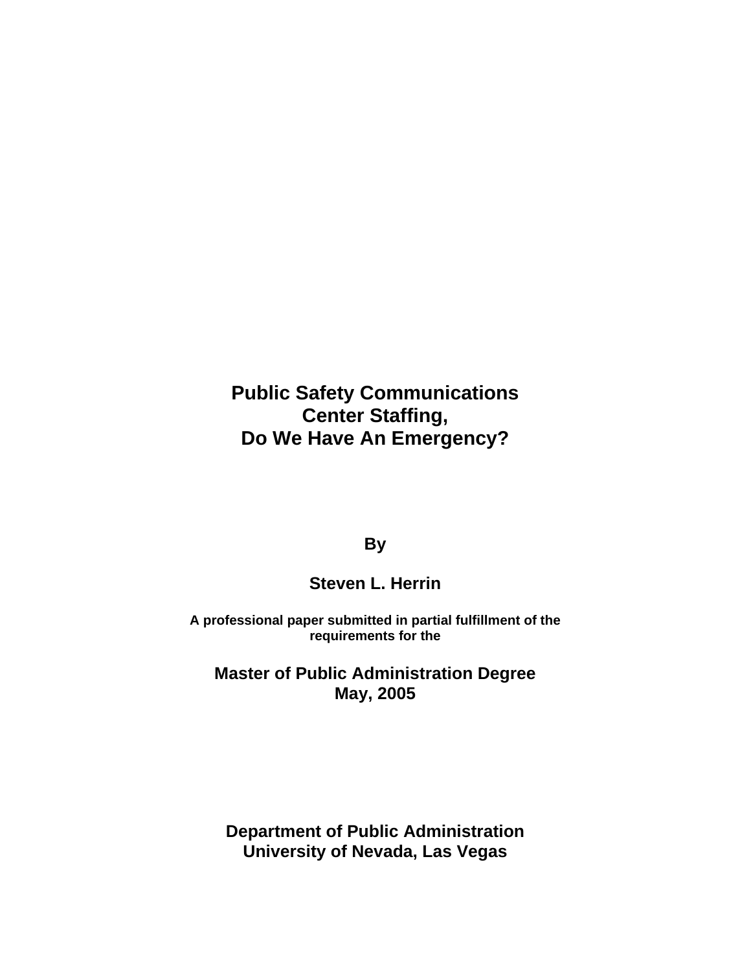**Public Safety Communications Center Staffing, Do We Have An Emergency?**

**By**

# **Steven L. Herrin**

**A professional paper submitted in partial fulfillment of the requirements for the**

**Master of Public Administration Degree May, 2005**

**Department of Public Administration University of Nevada, Las Vegas**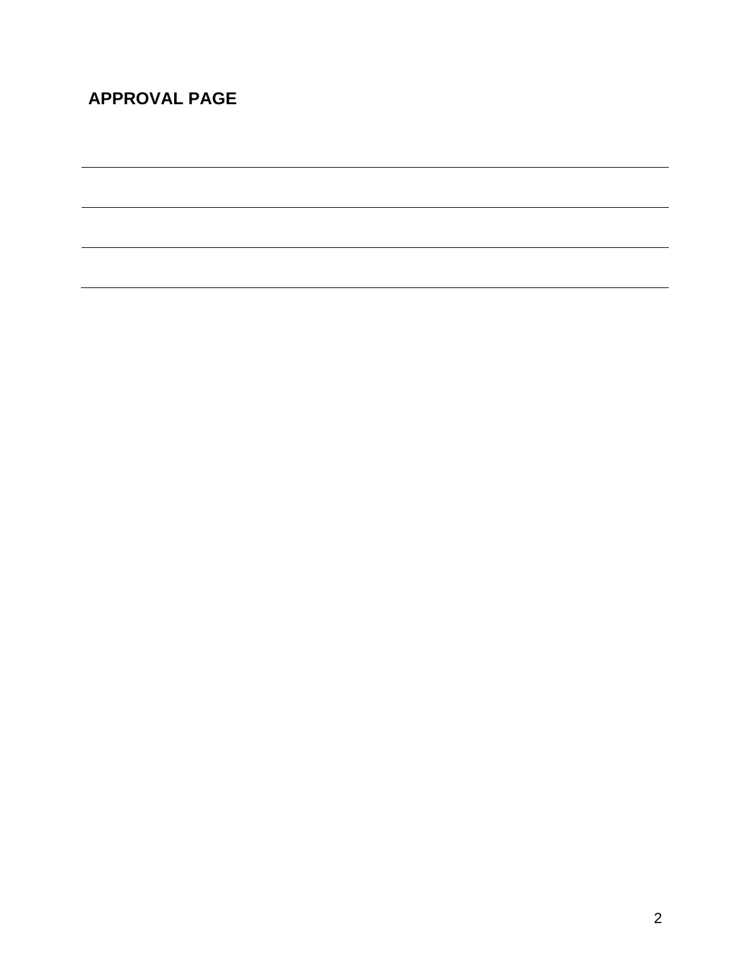# **APPROVAL PAGE**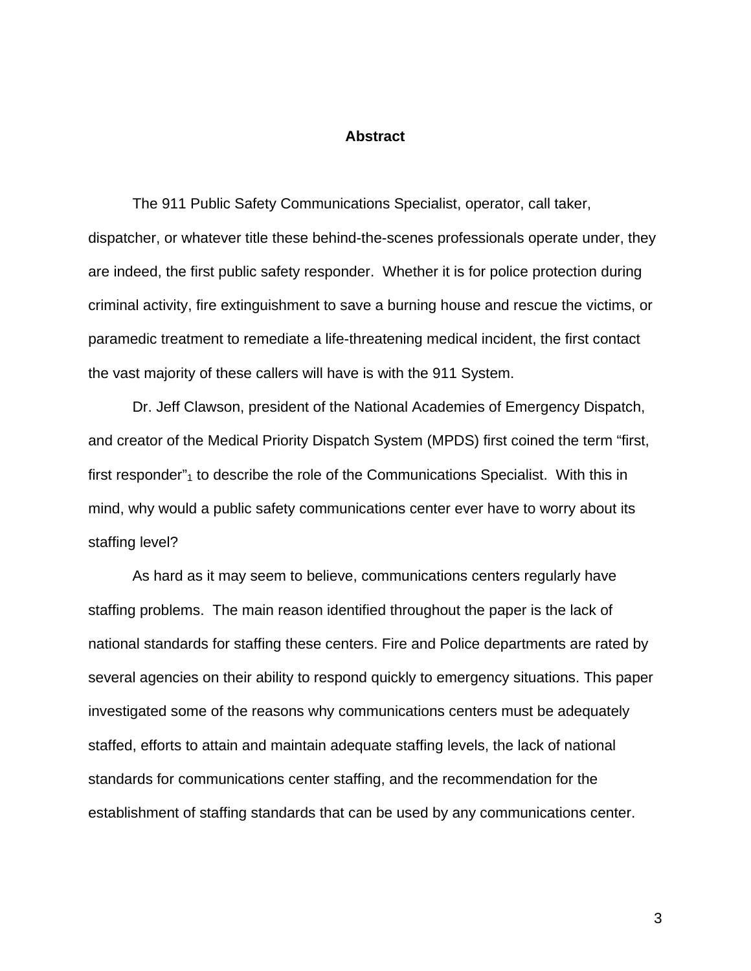### **Abstract**

The 911 Public Safety Communications Specialist, operator, call taker, dispatcher, or whatever title these behind-the-scenes professionals operate under, they are indeed, the first public safety responder. Whether it is for police protection during criminal activity, fire extinguishment to save a burning house and rescue the victims, or paramedic treatment to remediate a life-threatening medical incident, the first contact the vast majority of these callers will have is with the 911 System.

Dr. Jeff Clawson, president of the National Academies of Emergency Dispatch, and creator of the Medical Priority Dispatch System (MPDS) first coined the term "first, first responder" $<sub>1</sub>$  to describe the role of the Communications Specialist. With this in</sub> mind, why would a public safety communications center ever have to worry about its staffing level?

As hard as it may seem to believe, communications centers regularly have staffing problems. The main reason identified throughout the paper is the lack of national standards for staffing these centers. Fire and Police departments are rated by several agencies on their ability to respond quickly to emergency situations. This paper investigated some of the reasons why communications centers must be adequately staffed, efforts to attain and maintain adequate staffing levels, the lack of national standards for communications center staffing, and the recommendation for the establishment of staffing standards that can be used by any communications center.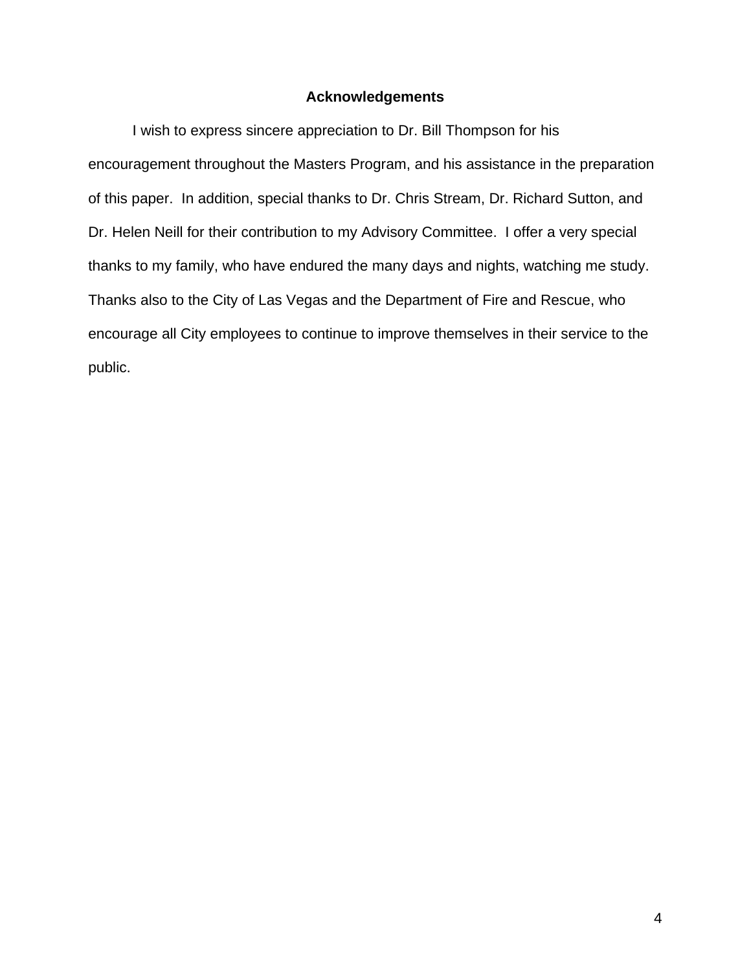### **Acknowledgements**

I wish to express sincere appreciation to Dr. Bill Thompson for his encouragement throughout the Masters Program, and his assistance in the preparation of this paper. In addition, special thanks to Dr. Chris Stream, Dr. Richard Sutton, and Dr. Helen Neill for their contribution to my Advisory Committee. I offer a very special thanks to my family, who have endured the many days and nights, watching me study. Thanks also to the City of Las Vegas and the Department of Fire and Rescue, who encourage all City employees to continue to improve themselves in their service to the public.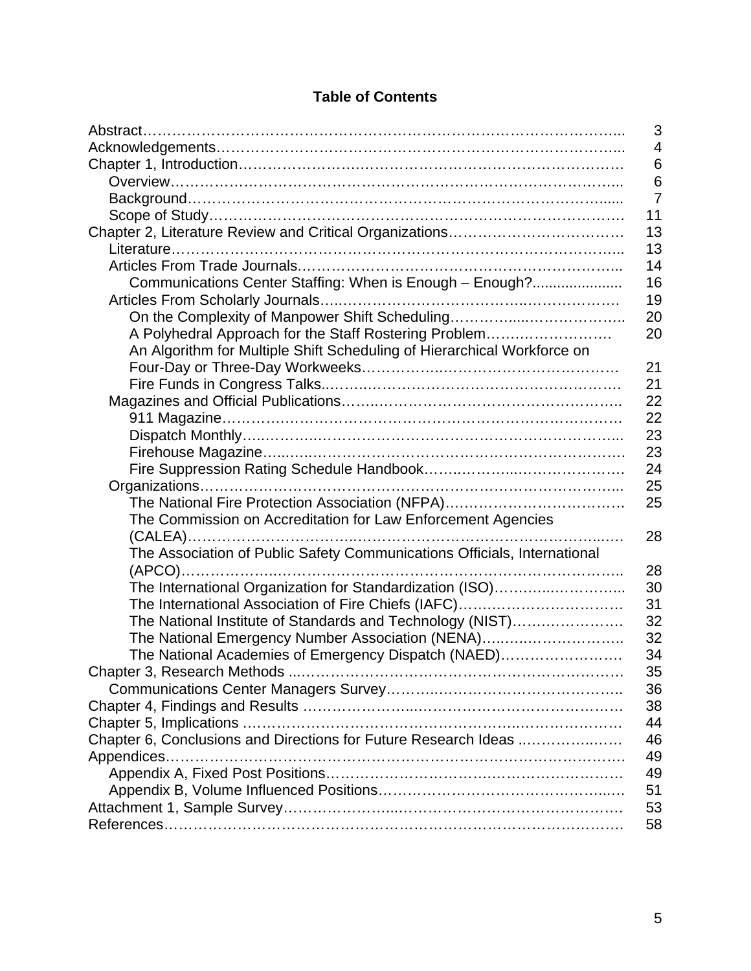|                                                                          | 3              |
|--------------------------------------------------------------------------|----------------|
|                                                                          | $\overline{4}$ |
|                                                                          | 6              |
|                                                                          | 6              |
|                                                                          | $\overline{7}$ |
|                                                                          | 11             |
|                                                                          | 13             |
|                                                                          | 13             |
|                                                                          | 14             |
| Communications Center Staffing: When is Enough - Enough?                 | 16             |
|                                                                          | 19             |
| On the Complexity of Manpower Shift Scheduling                           | 20             |
| A Polyhedral Approach for the Staff Rostering Problem                    | 20             |
| An Algorithm for Multiple Shift Scheduling of Hierarchical Workforce on  |                |
|                                                                          | 21             |
|                                                                          | 21             |
|                                                                          | 22             |
|                                                                          | 22             |
|                                                                          | 23             |
|                                                                          | 23             |
|                                                                          | 24             |
|                                                                          | 25             |
|                                                                          | 25             |
| The Commission on Accreditation for Law Enforcement Agencies             |                |
|                                                                          | 28             |
| The Association of Public Safety Communications Officials, International |                |
|                                                                          | 28             |
| The International Organization for Standardization (ISO)                 | 30             |
|                                                                          | 31             |
| The National Institute of Standards and Technology (NIST)                | 32             |
| The National Emergency Number Association (NENA)                         | 32             |
| The National Academies of Emergency Dispatch (NAED)                      | 34             |
|                                                                          | 35             |
|                                                                          | 36             |
|                                                                          | 38             |
|                                                                          | 44             |
| Chapter 6, Conclusions and Directions for Future Research Ideas          | 46             |
|                                                                          | 49             |
|                                                                          | 49             |
|                                                                          | 51             |
|                                                                          | 53             |
|                                                                          | 58             |

# **Table of Contents**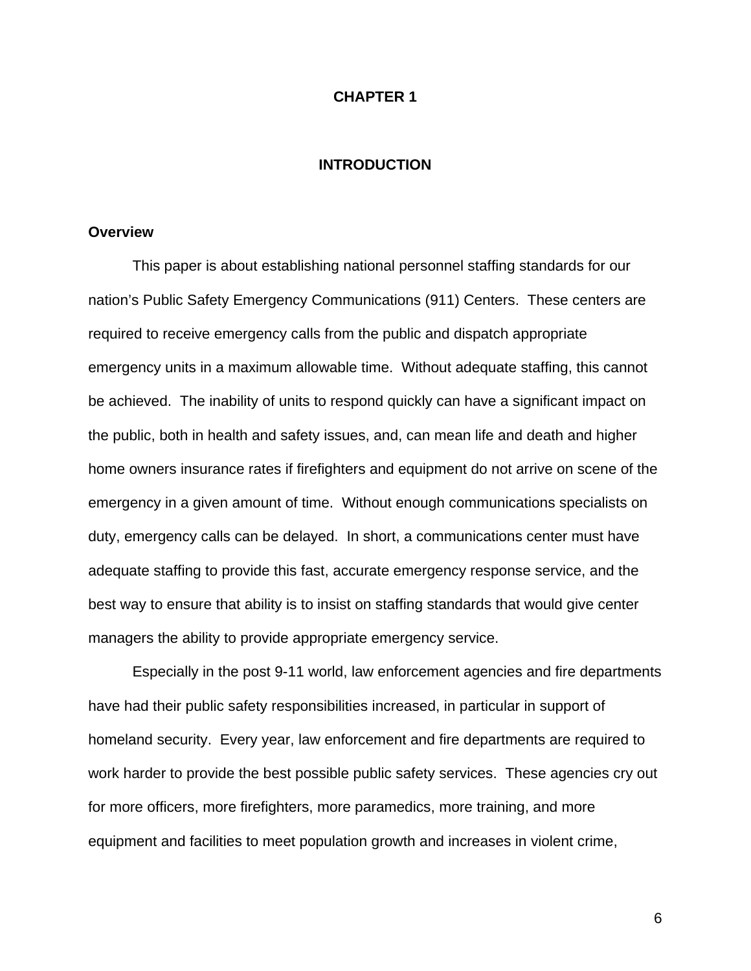### **CHAPTER 1**

### **INTRODUCTION**

### **Overview**

This paper is about establishing national personnel staffing standards for our nation's Public Safety Emergency Communications (911) Centers. These centers are required to receive emergency calls from the public and dispatch appropriate emergency units in a maximum allowable time. Without adequate staffing, this cannot be achieved. The inability of units to respond quickly can have a significant impact on the public, both in health and safety issues, and, can mean life and death and higher home owners insurance rates if firefighters and equipment do not arrive on scene of the emergency in a given amount of time. Without enough communications specialists on duty, emergency calls can be delayed. In short, a communications center must have adequate staffing to provide this fast, accurate emergency response service, and the best way to ensure that ability is to insist on staffing standards that would give center managers the ability to provide appropriate emergency service.

Especially in the post 9-11 world, law enforcement agencies and fire departments have had their public safety responsibilities increased, in particular in support of homeland security. Every year, law enforcement and fire departments are required to work harder to provide the best possible public safety services. These agencies cry out for more officers, more firefighters, more paramedics, more training, and more equipment and facilities to meet population growth and increases in violent crime,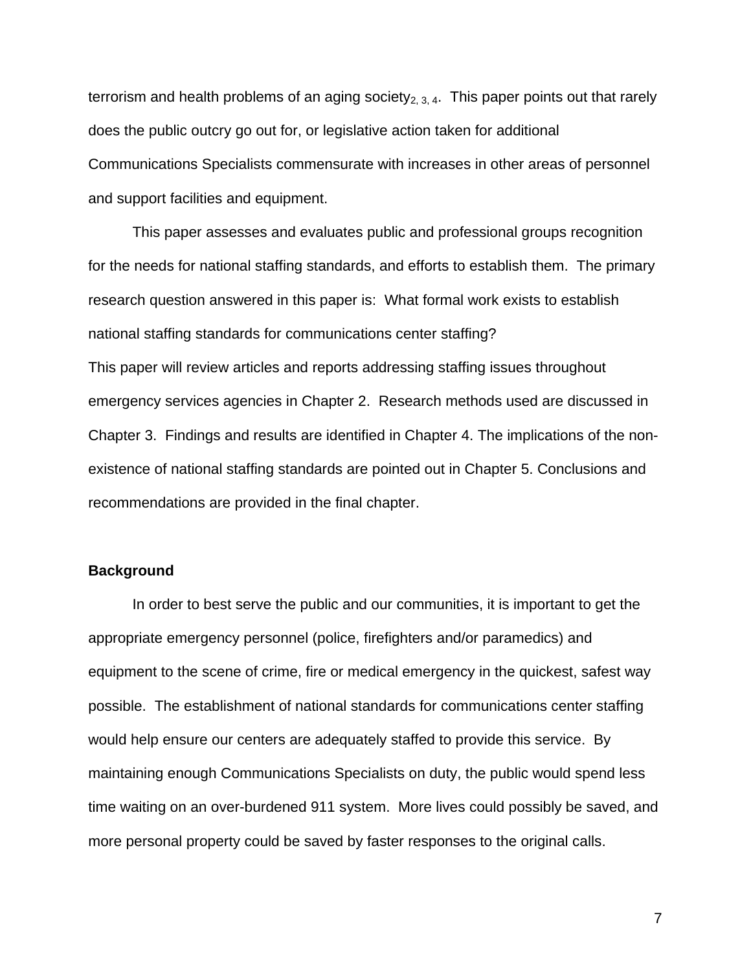terrorism and health problems of an aging society<sub>2, 3, 4</sub>. This paper points out that rarely does the public outcry go out for, or legislative action taken for additional Communications Specialists commensurate with increases in other areas of personnel and support facilities and equipment.

This paper assesses and evaluates public and professional groups recognition for the needs for national staffing standards, and efforts to establish them. The primary research question answered in this paper is: What formal work exists to establish national staffing standards for communications center staffing? This paper will review articles and reports addressing staffing issues throughout emergency services agencies in Chapter 2. Research methods used are discussed in Chapter 3. Findings and results are identified in Chapter 4. The implications of the nonexistence of national staffing standards are pointed out in Chapter 5. Conclusions and recommendations are provided in the final chapter.

### **Background**

In order to best serve the public and our communities, it is important to get the appropriate emergency personnel (police, firefighters and/or paramedics) and equipment to the scene of crime, fire or medical emergency in the quickest, safest way possible. The establishment of national standards for communications center staffing would help ensure our centers are adequately staffed to provide this service. By maintaining enough Communications Specialists on duty, the public would spend less time waiting on an over-burdened 911 system. More lives could possibly be saved, and more personal property could be saved by faster responses to the original calls.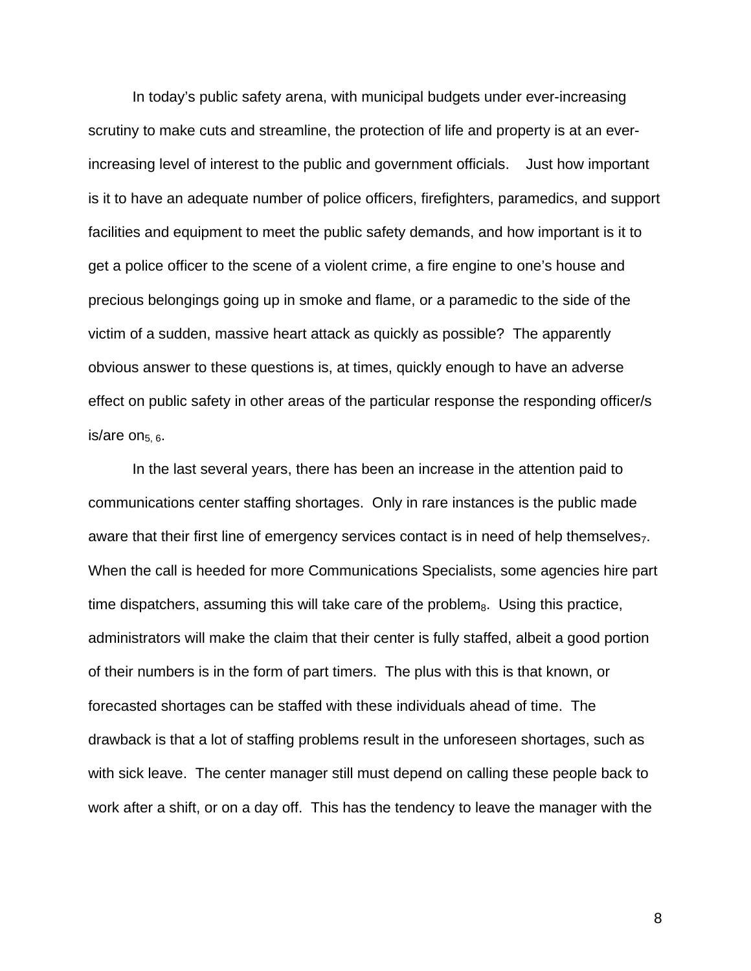In today's public safety arena, with municipal budgets under ever-increasing scrutiny to make cuts and streamline, the protection of life and property is at an everincreasing level of interest to the public and government officials. Just how important is it to have an adequate number of police officers, firefighters, paramedics, and support facilities and equipment to meet the public safety demands, and how important is it to get a police officer to the scene of a violent crime, a fire engine to one's house and precious belongings going up in smoke and flame, or a paramedic to the side of the victim of a sudden, massive heart attack as quickly as possible? The apparently obvious answer to these questions is, at times, quickly enough to have an adverse effect on public safety in other areas of the particular response the responding officer/s is/are on $_{5.6}$ .

In the last several years, there has been an increase in the attention paid to communications center staffing shortages. Only in rare instances is the public made aware that their first line of emergency services contact is in need of help themselves<sub>7</sub>. When the call is heeded for more Communications Specialists, some agencies hire part time dispatchers, assuming this will take care of the problem $_8$ . Using this practice, administrators will make the claim that their center is fully staffed, albeit a good portion of their numbers is in the form of part timers. The plus with this is that known, or forecasted shortages can be staffed with these individuals ahead of time. The drawback is that a lot of staffing problems result in the unforeseen shortages, such as with sick leave. The center manager still must depend on calling these people back to work after a shift, or on a day off. This has the tendency to leave the manager with the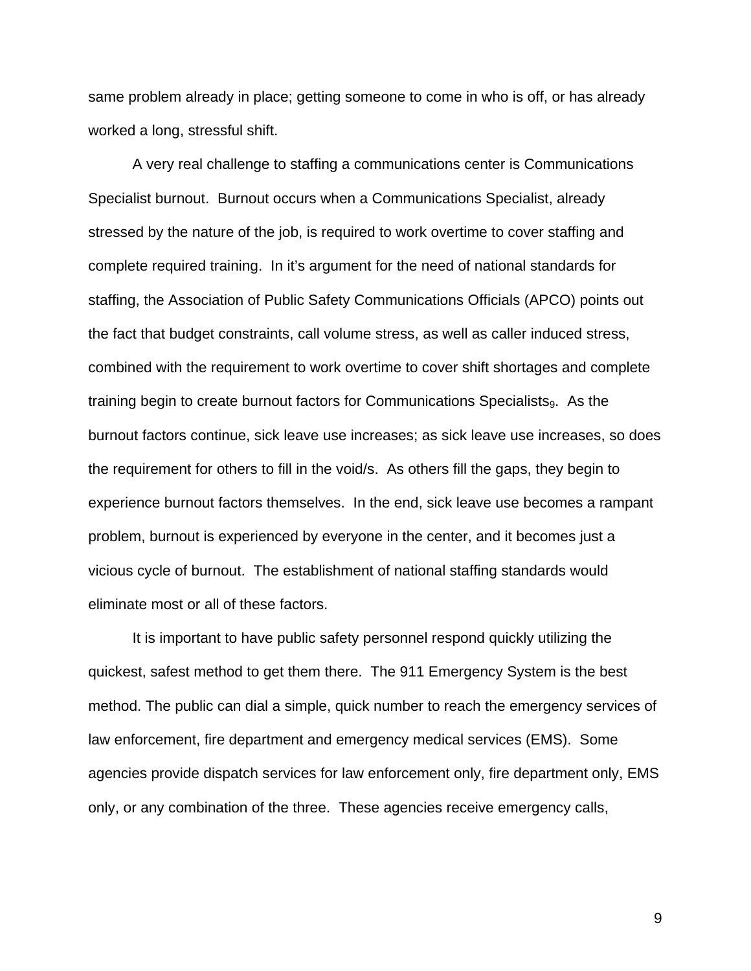same problem already in place; getting someone to come in who is off, or has already worked a long, stressful shift.

A very real challenge to staffing a communications center is Communications Specialist burnout. Burnout occurs when a Communications Specialist, already stressed by the nature of the job, is required to work overtime to cover staffing and complete required training. In it's argument for the need of national standards for staffing, the Association of Public Safety Communications Officials (APCO) points out the fact that budget constraints, call volume stress, as well as caller induced stress, combined with the requirement to work overtime to cover shift shortages and complete training begin to create burnout factors for Communications Specialists. As the burnout factors continue, sick leave use increases; as sick leave use increases, so does the requirement for others to fill in the void/s. As others fill the gaps, they begin to experience burnout factors themselves. In the end, sick leave use becomes a rampant problem, burnout is experienced by everyone in the center, and it becomes just a vicious cycle of burnout. The establishment of national staffing standards would eliminate most or all of these factors.

It is important to have public safety personnel respond quickly utilizing the quickest, safest method to get them there. The 911 Emergency System is the best method. The public can dial a simple, quick number to reach the emergency services of law enforcement, fire department and emergency medical services (EMS). Some agencies provide dispatch services for law enforcement only, fire department only, EMS only, or any combination of the three. These agencies receive emergency calls,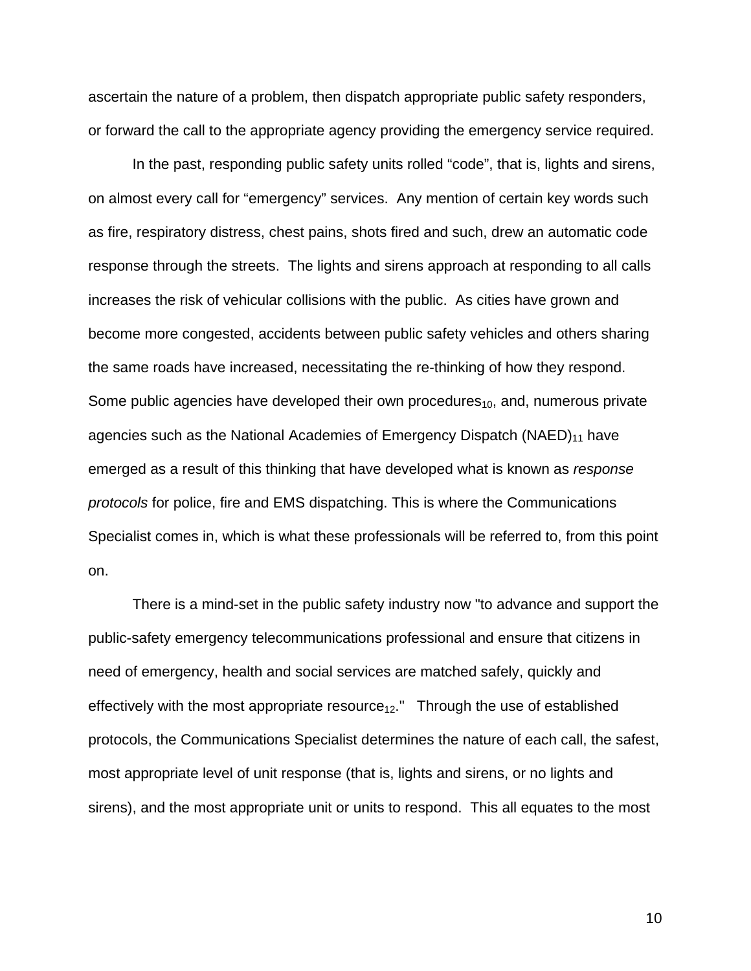ascertain the nature of a problem, then dispatch appropriate public safety responders, or forward the call to the appropriate agency providing the emergency service required.

In the past, responding public safety units rolled "code", that is, lights and sirens, on almost every call for "emergency" services. Any mention of certain key words such as fire, respiratory distress, chest pains, shots fired and such, drew an automatic code response through the streets. The lights and sirens approach at responding to all calls increases the risk of vehicular collisions with the public. As cities have grown and become more congested, accidents between public safety vehicles and others sharing the same roads have increased, necessitating the re-thinking of how they respond. Some public agencies have developed their own procedures $_{10}$ , and, numerous private agencies such as the National Academies of Emergency Dispatch ( $NAED$ )<sub>11</sub> have emerged as a result of this thinking that have developed what is known as *response protocols* for police, fire and EMS dispatching. This is where the Communications Specialist comes in, which is what these professionals will be referred to, from this point on.

There is a mind-set in the public safety industry now "to advance and support the public-safety emergency telecommunications professional and ensure that citizens in need of emergency, health and social services are matched safely, quickly and effectively with the most appropriate resource $_{12}$ ." Through the use of established protocols, the Communications Specialist determines the nature of each call, the safest, most appropriate level of unit response (that is, lights and sirens, or no lights and sirens), and the most appropriate unit or units to respond. This all equates to the most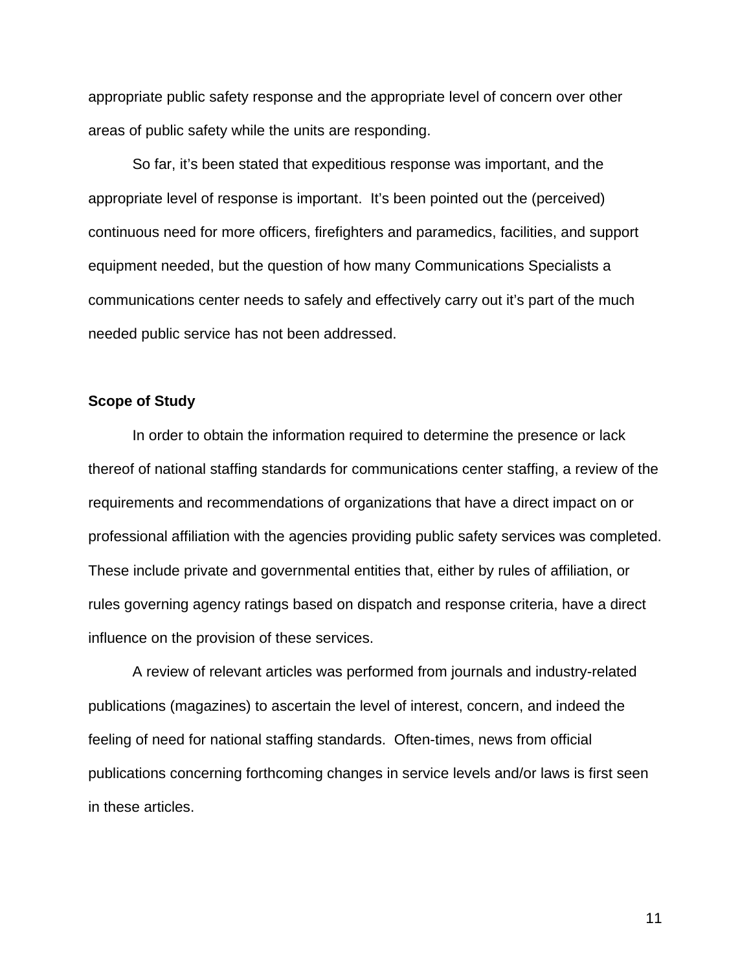appropriate public safety response and the appropriate level of concern over other areas of public safety while the units are responding.

So far, it's been stated that expeditious response was important, and the appropriate level of response is important. It's been pointed out the (perceived) continuous need for more officers, firefighters and paramedics, facilities, and support equipment needed, but the question of how many Communications Specialists a communications center needs to safely and effectively carry out it's part of the much needed public service has not been addressed.

### **Scope of Study**

In order to obtain the information required to determine the presence or lack thereof of national staffing standards for communications center staffing, a review of the requirements and recommendations of organizations that have a direct impact on or professional affiliation with the agencies providing public safety services was completed. These include private and governmental entities that, either by rules of affiliation, or rules governing agency ratings based on dispatch and response criteria, have a direct influence on the provision of these services.

A review of relevant articles was performed from journals and industry-related publications (magazines) to ascertain the level of interest, concern, and indeed the feeling of need for national staffing standards. Often-times, news from official publications concerning forthcoming changes in service levels and/or laws is first seen in these articles.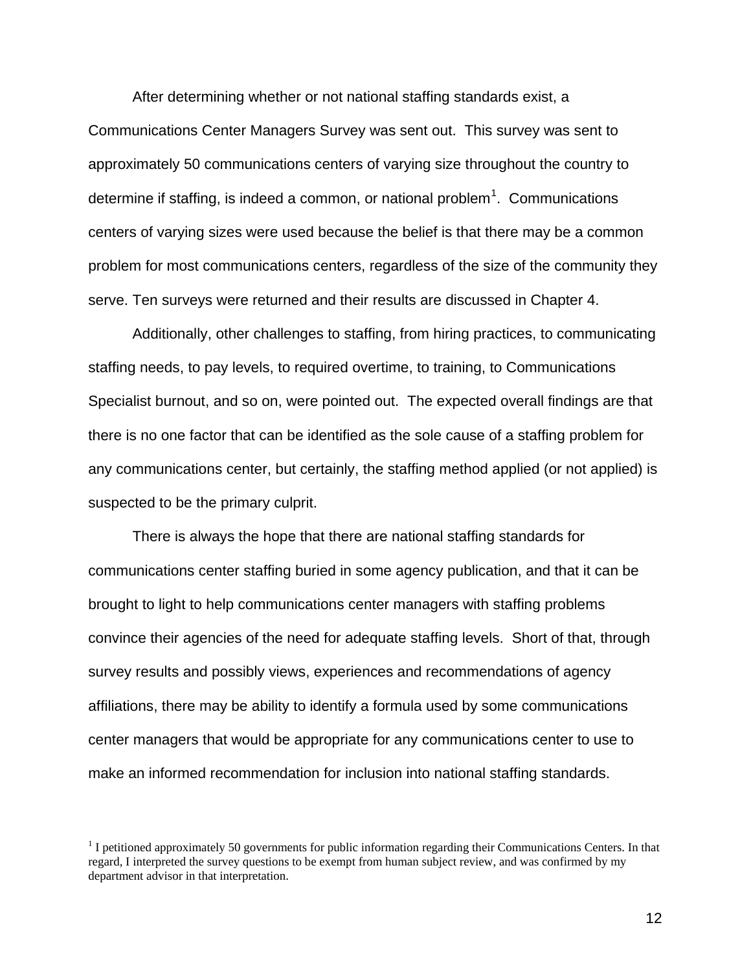After determining whether or not national staffing standards exist, a Communications Center Managers Survey was sent out. This survey was sent to approximately 50 communications centers of varying size throughout the country to determine if staffing, is indeed a common, or national problem<sup>[1](#page-12-0)</sup>. Communications centers of varying sizes were used because the belief is that there may be a common problem for most communications centers, regardless of the size of the community they serve. Ten surveys were returned and their results are discussed in Chapter 4.

Additionally, other challenges to staffing, from hiring practices, to communicating staffing needs, to pay levels, to required overtime, to training, to Communications Specialist burnout, and so on, were pointed out. The expected overall findings are that there is no one factor that can be identified as the sole cause of a staffing problem for any communications center, but certainly, the staffing method applied (or not applied) is suspected to be the primary culprit.

There is always the hope that there are national staffing standards for communications center staffing buried in some agency publication, and that it can be brought to light to help communications center managers with staffing problems convince their agencies of the need for adequate staffing levels. Short of that, through survey results and possibly views, experiences and recommendations of agency affiliations, there may be ability to identify a formula used by some communications center managers that would be appropriate for any communications center to use to make an informed recommendation for inclusion into national staffing standards.

<span id="page-12-0"></span><sup>&</sup>lt;sup>1</sup> I petitioned approximately 50 governments for public information regarding their Communications Centers. In that regard, I interpreted the survey questions to be exempt from human subject review, and was confirmed by my department advisor in that interpretation.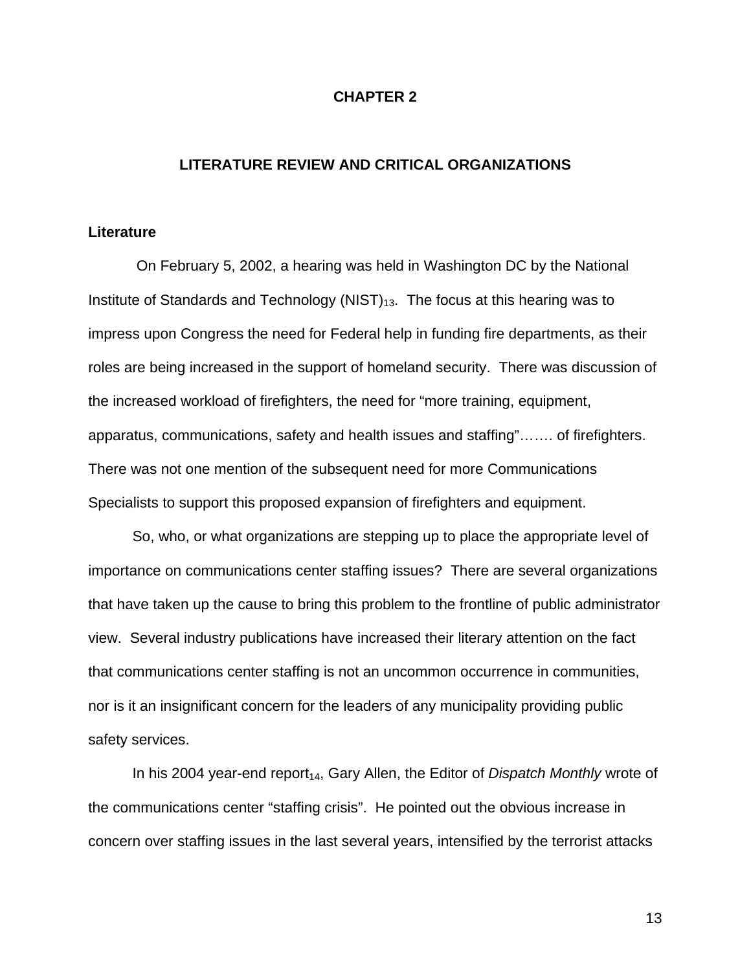### **CHAPTER 2**

### **LITERATURE REVIEW AND CRITICAL ORGANIZATIONS**

### **Literature**

On February 5, 2002, a hearing was held in Washington DC by the National Institute of Standards and Technology (NIST) $_{13}$ . The focus at this hearing was to impress upon Congress the need for Federal help in funding fire departments, as their roles are being increased in the support of homeland security. There was discussion of the increased workload of firefighters, the need for "more training, equipment, apparatus, communications, safety and health issues and staffing"……. of firefighters. There was not one mention of the subsequent need for more Communications Specialists to support this proposed expansion of firefighters and equipment.

So, who, or what organizations are stepping up to place the appropriate level of importance on communications center staffing issues? There are several organizations that have taken up the cause to bring this problem to the frontline of public administrator view. Several industry publications have increased their literary attention on the fact that communications center staffing is not an uncommon occurrence in communities, nor is it an insignificant concern for the leaders of any municipality providing public safety services.

In his 2004 year-end report<sub>14</sub>, Gary Allen, the Editor of *Dispatch Monthly* wrote of the communications center "staffing crisis". He pointed out the obvious increase in concern over staffing issues in the last several years, intensified by the terrorist attacks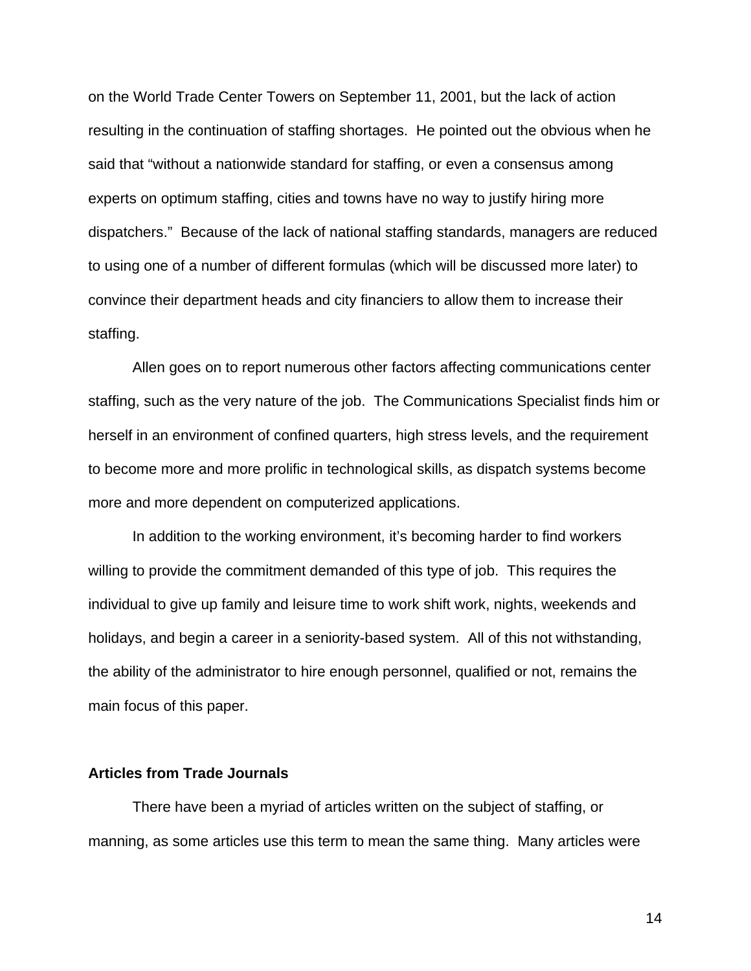on the World Trade Center Towers on September 11, 2001, but the lack of action resulting in the continuation of staffing shortages. He pointed out the obvious when he said that "without a nationwide standard for staffing, or even a consensus among experts on optimum staffing, cities and towns have no way to justify hiring more dispatchers." Because of the lack of national staffing standards, managers are reduced to using one of a number of different formulas (which will be discussed more later) to convince their department heads and city financiers to allow them to increase their staffing.

Allen goes on to report numerous other factors affecting communications center staffing, such as the very nature of the job. The Communications Specialist finds him or herself in an environment of confined quarters, high stress levels, and the requirement to become more and more prolific in technological skills, as dispatch systems become more and more dependent on computerized applications.

In addition to the working environment, it's becoming harder to find workers willing to provide the commitment demanded of this type of job. This requires the individual to give up family and leisure time to work shift work, nights, weekends and holidays, and begin a career in a seniority-based system. All of this not withstanding, the ability of the administrator to hire enough personnel, qualified or not, remains the main focus of this paper.

### **Articles from Trade Journals**

There have been a myriad of articles written on the subject of staffing, or manning, as some articles use this term to mean the same thing. Many articles were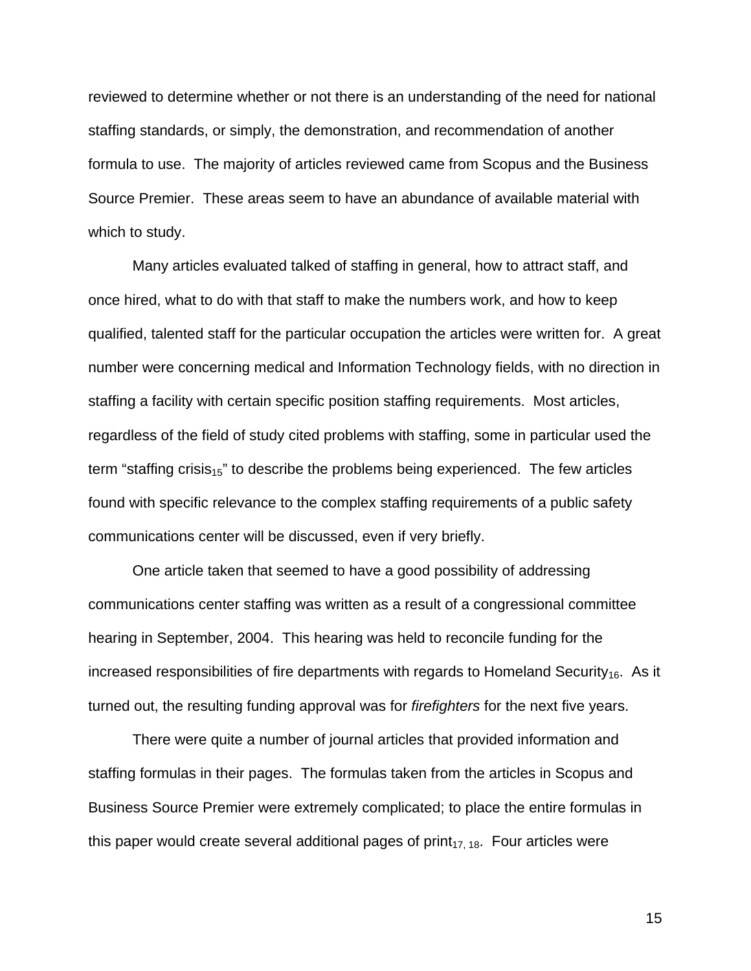reviewed to determine whether or not there is an understanding of the need for national staffing standards, or simply, the demonstration, and recommendation of another formula to use. The majority of articles reviewed came from Scopus and the Business Source Premier. These areas seem to have an abundance of available material with which to study.

Many articles evaluated talked of staffing in general, how to attract staff, and once hired, what to do with that staff to make the numbers work, and how to keep qualified, talented staff for the particular occupation the articles were written for. A great number were concerning medical and Information Technology fields, with no direction in staffing a facility with certain specific position staffing requirements. Most articles, regardless of the field of study cited problems with staffing, some in particular used the term "staffing crisis<sub>15</sub>" to describe the problems being experienced. The few articles found with specific relevance to the complex staffing requirements of a public safety communications center will be discussed, even if very briefly.

One article taken that seemed to have a good possibility of addressing communications center staffing was written as a result of a congressional committee hearing in September, 2004. This hearing was held to reconcile funding for the increased responsibilities of fire departments with regards to Homeland Security<sub>16</sub>. As it turned out, the resulting funding approval was for *firefighters* for the next five years.

There were quite a number of journal articles that provided information and staffing formulas in their pages. The formulas taken from the articles in Scopus and Business Source Premier were extremely complicated; to place the entire formulas in this paper would create several additional pages of  $print_{17, 18}$ . Four articles were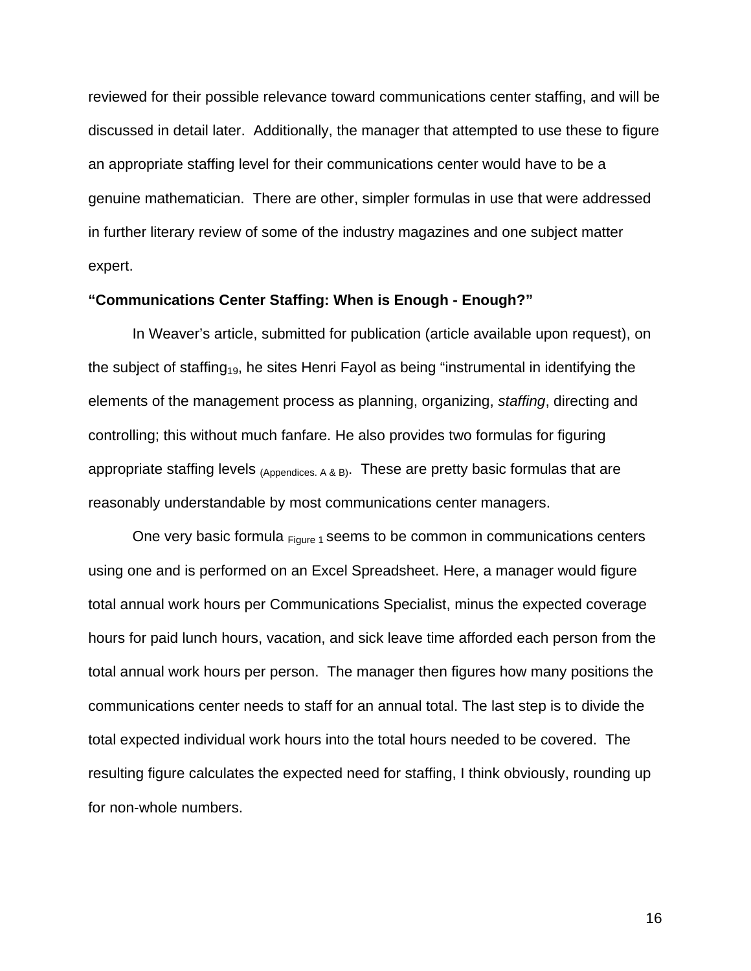reviewed for their possible relevance toward communications center staffing, and will be discussed in detail later. Additionally, the manager that attempted to use these to figure an appropriate staffing level for their communications center would have to be a genuine mathematician. There are other, simpler formulas in use that were addressed in further literary review of some of the industry magazines and one subject matter expert.

### **"Communications Center Staffing: When is Enough - Enough?"**

In Weaver's article, submitted for publication (article available upon request), on the subject of staffing<sub>19</sub>, he sites Henri Fayol as being "instrumental in identifying the elements of the management process as planning, organizing, *staffing*, directing and controlling; this without much fanfare. He also provides two formulas for figuring appropriate staffing levels  $_{(Appendices, A & B)}$ . These are pretty basic formulas that are reasonably understandable by most communications center managers.

One very basic formula  $F_{\text{figure 1}}$  seems to be common in communications centers using one and is performed on an Excel Spreadsheet. Here, a manager would figure total annual work hours per Communications Specialist, minus the expected coverage hours for paid lunch hours, vacation, and sick leave time afforded each person from the total annual work hours per person. The manager then figures how many positions the communications center needs to staff for an annual total. The last step is to divide the total expected individual work hours into the total hours needed to be covered. The resulting figure calculates the expected need for staffing, I think obviously, rounding up for non-whole numbers.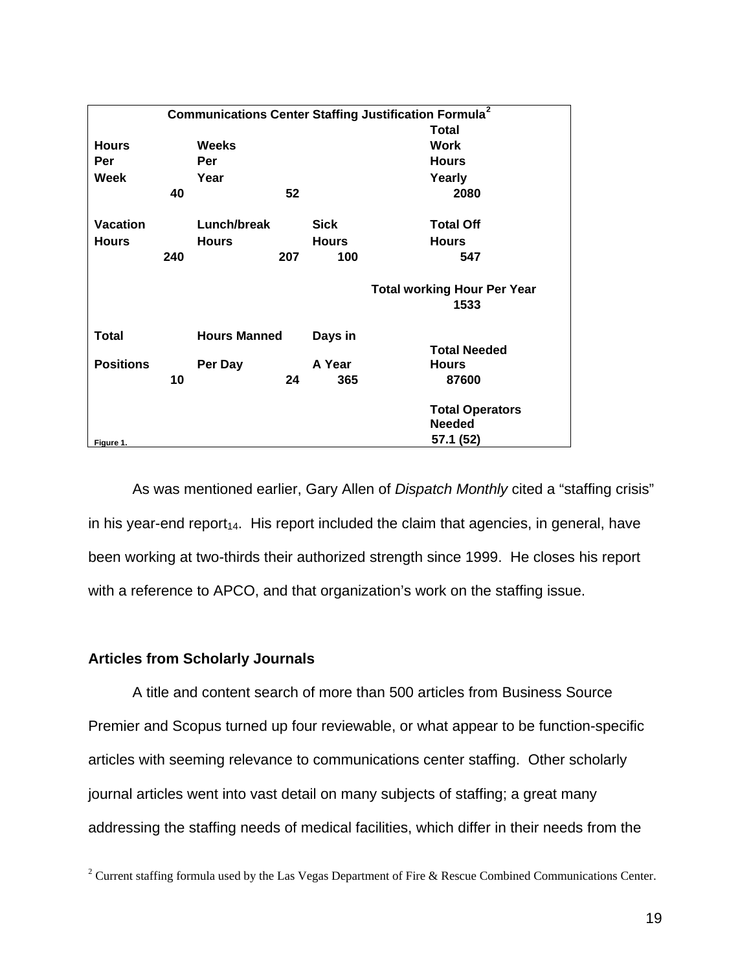|                  |     |                     |     |              | <b>Communications Center Staffing Justification Formula<sup>2</sup></b> |
|------------------|-----|---------------------|-----|--------------|-------------------------------------------------------------------------|
|                  |     |                     |     |              | <b>Total</b>                                                            |
| <b>Hours</b>     |     | <b>Weeks</b>        |     |              | <b>Work</b>                                                             |
| Per              |     | Per                 |     |              | <b>Hours</b>                                                            |
| Week             |     | Year                |     |              | Yearly                                                                  |
|                  | 40  |                     | 52  |              | 2080                                                                    |
| <b>Vacation</b>  |     | Lunch/break         |     | <b>Sick</b>  | <b>Total Off</b>                                                        |
| <b>Hours</b>     |     | <b>Hours</b>        |     | <b>Hours</b> | <b>Hours</b>                                                            |
|                  | 240 |                     | 207 | 100          | 547                                                                     |
|                  |     |                     |     |              | <b>Total working Hour Per Year</b>                                      |
|                  |     |                     |     |              | 1533                                                                    |
| Total            |     | <b>Hours Manned</b> |     | Days in      |                                                                         |
|                  |     |                     |     |              | <b>Total Needed</b>                                                     |
| <b>Positions</b> |     | Per Day             |     | A Year       | <b>Hours</b>                                                            |
|                  | 10  |                     | 24  | 365          | 87600                                                                   |
|                  |     |                     |     |              | <b>Total Operators</b>                                                  |
|                  |     |                     |     |              | Needed                                                                  |
| Figure 1.        |     |                     |     |              | 57.1 (52)                                                               |

As was mentioned earlier, Gary Allen of *Dispatch Monthly* cited a "staffing crisis" in his year-end report<sub>14</sub>. His report included the claim that agencies, in general, have been working at two-thirds their authorized strength since 1999. He closes his report with a reference to APCO, and that organization's work on the staffing issue.

### **Articles from Scholarly Journals**

A title and content search of more than 500 articles from Business Source Premier and Scopus turned up four reviewable, or what appear to be function-specific articles with seeming relevance to communications center staffing. Other scholarly journal articles went into vast detail on many subjects of staffing; a great many addressing the staffing needs of medical facilities, which differ in their needs from the

<span id="page-17-0"></span><sup>&</sup>lt;sup>2</sup> Current staffing formula used by the Las Vegas Department of Fire & Rescue Combined Communications Center.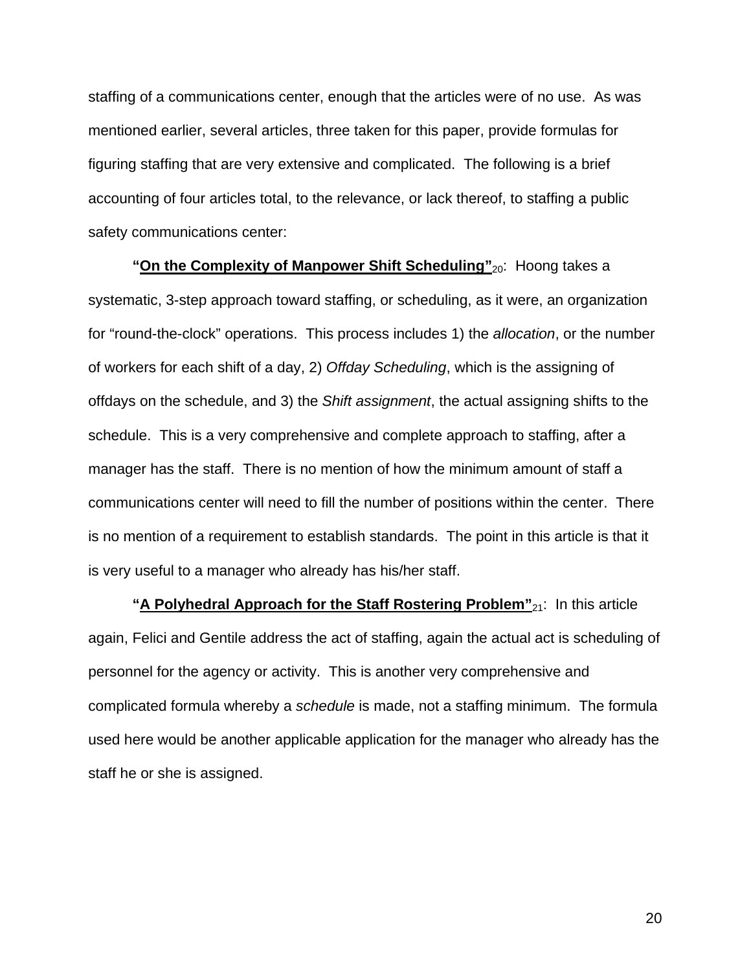staffing of a communications center, enough that the articles were of no use. As was mentioned earlier, several articles, three taken for this paper, provide formulas for figuring staffing that are very extensive and complicated. The following is a brief accounting of four articles total, to the relevance, or lack thereof, to staffing a public safety communications center:

**"On the Complexity of Manpower Shift Scheduling"**<sub>20</sub>: Hoong takes a systematic, 3-step approach toward staffing, or scheduling, as it were, an organization for "round-the-clock" operations. This process includes 1) the *allocation*, or the number of workers for each shift of a day, 2) *Offday Scheduling*, which is the assigning of offdays on the schedule, and 3) the *Shift assignment*, the actual assigning shifts to the schedule. This is a very comprehensive and complete approach to staffing, after a manager has the staff. There is no mention of how the minimum amount of staff a communications center will need to fill the number of positions within the center. There is no mention of a requirement to establish standards. The point in this article is that it is very useful to a manager who already has his/her staff.

**"A Polyhedral Approach for the Staff Rostering Problem"**21: In this article again, Felici and Gentile address the act of staffing, again the actual act is scheduling of personnel for the agency or activity. This is another very comprehensive and complicated formula whereby a *schedule* is made, not a staffing minimum. The formula used here would be another applicable application for the manager who already has the staff he or she is assigned.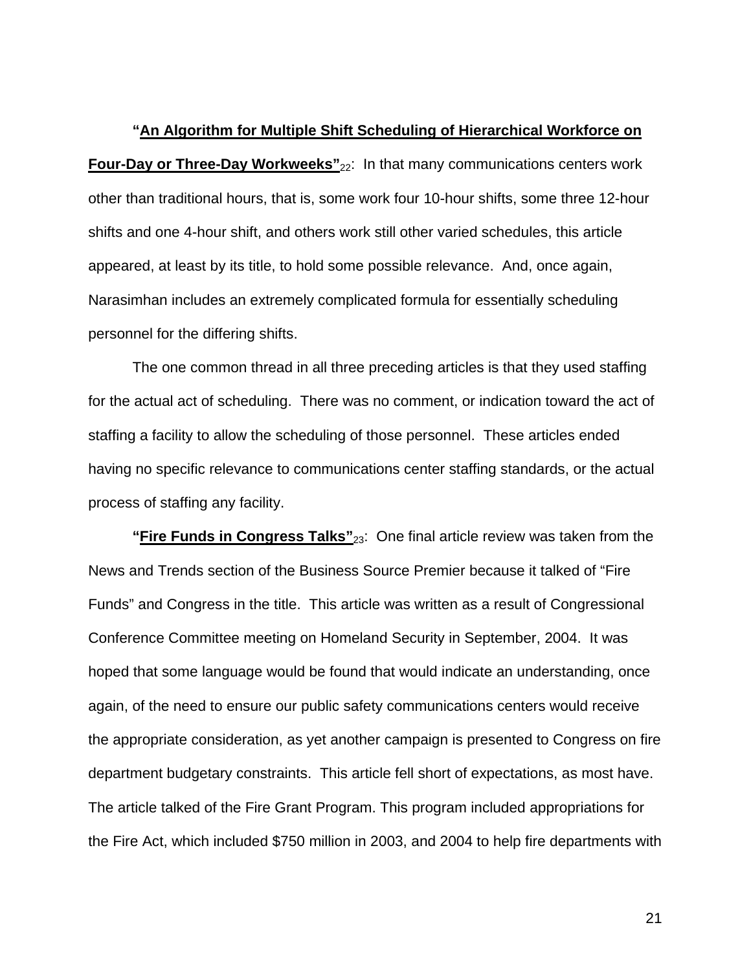**"An Algorithm for Multiple Shift Scheduling of Hierarchical Workforce on Four-Day or Three-Day Workweeks"**<sub>22</sub>: In that many communications centers work other than traditional hours, that is, some work four 10-hour shifts, some three 12-hour shifts and one 4-hour shift, and others work still other varied schedules, this article appeared, at least by its title, to hold some possible relevance. And, once again, Narasimhan includes an extremely complicated formula for essentially scheduling personnel for the differing shifts.

The one common thread in all three preceding articles is that they used staffing for the actual act of scheduling. There was no comment, or indication toward the act of staffing a facility to allow the scheduling of those personnel. These articles ended having no specific relevance to communications center staffing standards, or the actual process of staffing any facility.

**"Fire Funds in Congress Talks"**23: One final article review was taken from the News and Trends section of the Business Source Premier because it talked of "Fire Funds" and Congress in the title. This article was written as a result of Congressional Conference Committee meeting on Homeland Security in September, 2004. It was hoped that some language would be found that would indicate an understanding, once again, of the need to ensure our public safety communications centers would receive the appropriate consideration, as yet another campaign is presented to Congress on fire department budgetary constraints. This article fell short of expectations, as most have. The article talked of the Fire Grant Program. This program included appropriations for the Fire Act, which included \$750 million in 2003, and 2004 to help fire departments with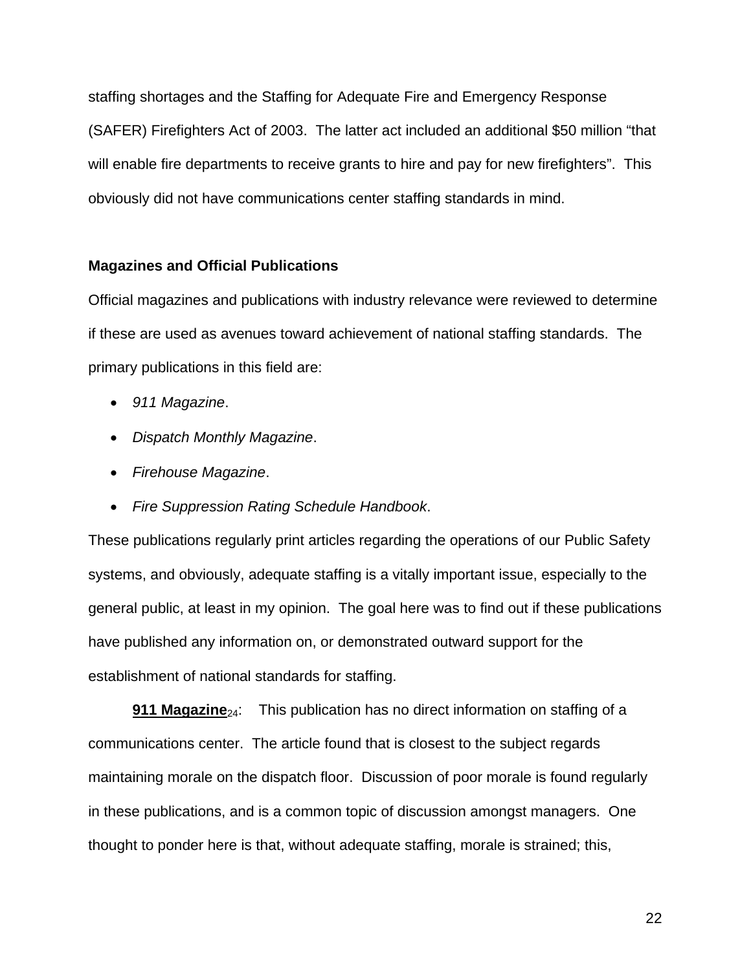staffing shortages and the Staffing for Adequate Fire and Emergency Response (SAFER) Firefighters Act of 2003. The latter act included an additional \$50 million "that will enable fire departments to receive grants to hire and pay for new firefighters". This obviously did not have communications center staffing standards in mind.

### **Magazines and Official Publications**

Official magazines and publications with industry relevance were reviewed to determine if these are used as avenues toward achievement of national staffing standards. The primary publications in this field are:

- *911 Magazine*.
- *Dispatch Monthly Magazine*.
- *Firehouse Magazine*.
- *Fire Suppression Rating Schedule Handbook*.

These publications regularly print articles regarding the operations of our Public Safety systems, and obviously, adequate staffing is a vitally important issue, especially to the general public, at least in my opinion. The goal here was to find out if these publications have published any information on, or demonstrated outward support for the establishment of national standards for staffing.

**911 Magazine**<sub>24</sub>: This publication has no direct information on staffing of a communications center. The article found that is closest to the subject regards maintaining morale on the dispatch floor. Discussion of poor morale is found regularly in these publications, and is a common topic of discussion amongst managers. One thought to ponder here is that, without adequate staffing, morale is strained; this,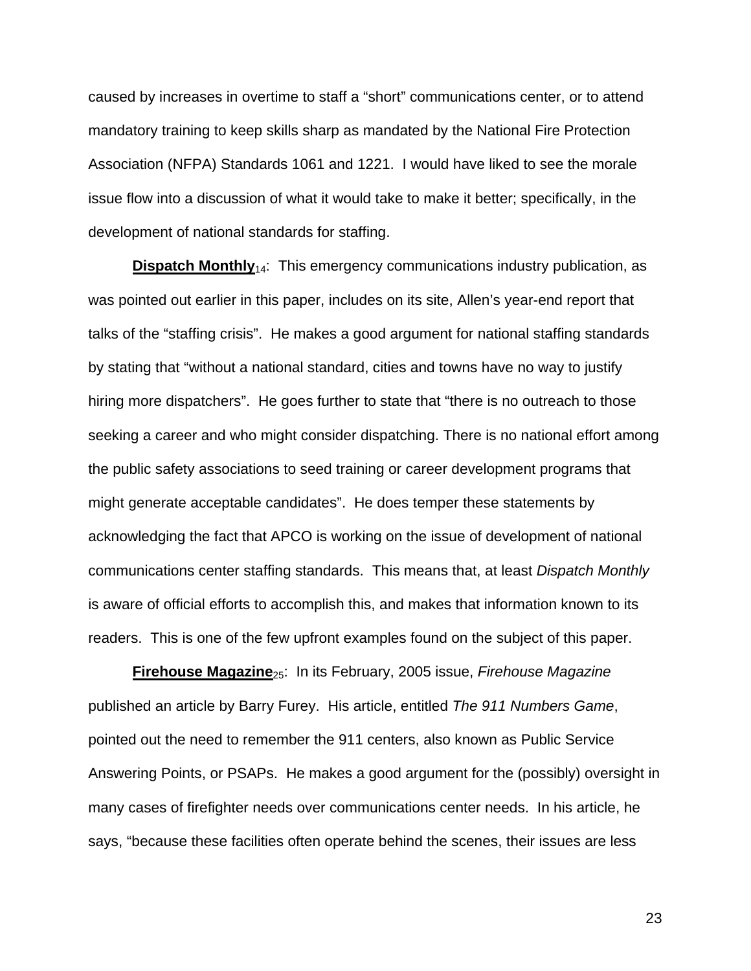caused by increases in overtime to staff a "short" communications center, or to attend mandatory training to keep skills sharp as mandated by the National Fire Protection Association (NFPA) Standards 1061 and 1221. I would have liked to see the morale issue flow into a discussion of what it would take to make it better; specifically, in the development of national standards for staffing.

**Dispatch Monthly**<sub>14</sub>: This emergency communications industry publication, as was pointed out earlier in this paper, includes on its site, Allen's year-end report that talks of the "staffing crisis". He makes a good argument for national staffing standards by stating that "without a national standard, cities and towns have no way to justify hiring more dispatchers". He goes further to state that "there is no outreach to those seeking a career and who might consider dispatching. There is no national effort among the public safety associations to seed training or career development programs that might generate acceptable candidates". He does temper these statements by acknowledging the fact that APCO is working on the issue of development of national communications center staffing standards. This means that, at least *Dispatch Monthly* is aware of official efforts to accomplish this, and makes that information known to its readers. This is one of the few upfront examples found on the subject of this paper.

**Firehouse Magazine**25: In its February, 2005 issue, *Firehouse Magazine* published an article by Barry Furey. His article, entitled *The 911 Numbers Game*, pointed out the need to remember the 911 centers, also known as Public Service Answering Points, or PSAPs. He makes a good argument for the (possibly) oversight in many cases of firefighter needs over communications center needs. In his article, he says, "because these facilities often operate behind the scenes, their issues are less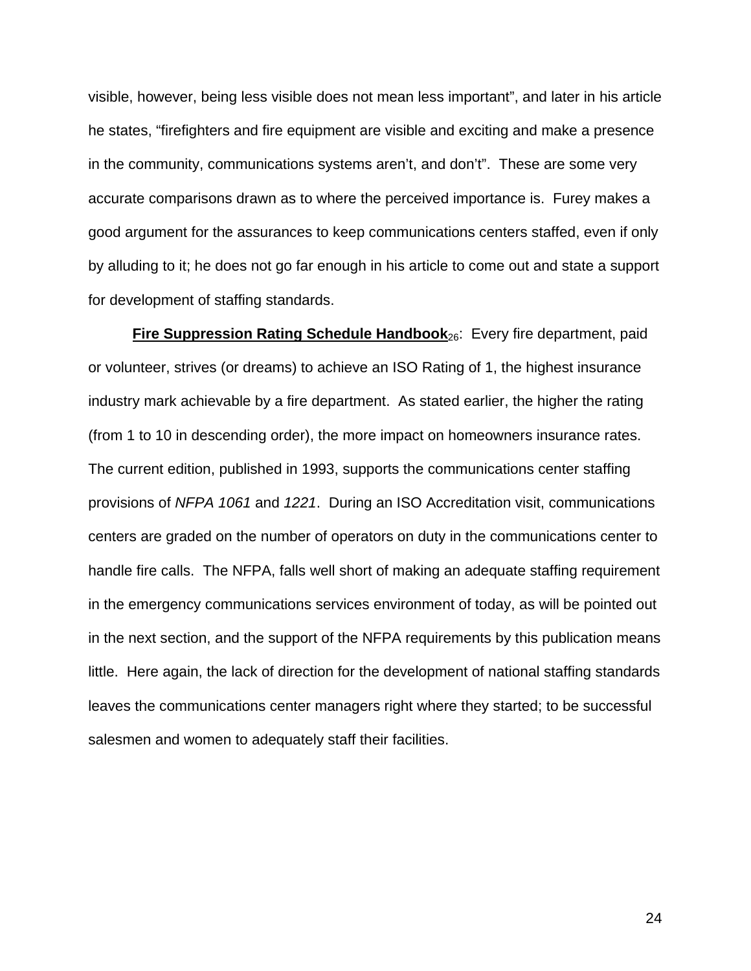visible, however, being less visible does not mean less important", and later in his article he states, "firefighters and fire equipment are visible and exciting and make a presence in the community, communications systems aren't, and don't". These are some very accurate comparisons drawn as to where the perceived importance is. Furey makes a good argument for the assurances to keep communications centers staffed, even if only by alluding to it; he does not go far enough in his article to come out and state a support for development of staffing standards.

**Fire Suppression Rating Schedule Handbook**26: Every fire department, paid or volunteer, strives (or dreams) to achieve an ISO Rating of 1, the highest insurance industry mark achievable by a fire department. As stated earlier, the higher the rating (from 1 to 10 in descending order), the more impact on homeowners insurance rates. The current edition, published in 1993, supports the communications center staffing provisions of *NFPA 1061* and *1221*. During an ISO Accreditation visit, communications centers are graded on the number of operators on duty in the communications center to handle fire calls. The NFPA, falls well short of making an adequate staffing requirement in the emergency communications services environment of today, as will be pointed out in the next section, and the support of the NFPA requirements by this publication means little. Here again, the lack of direction for the development of national staffing standards leaves the communications center managers right where they started; to be successful salesmen and women to adequately staff their facilities.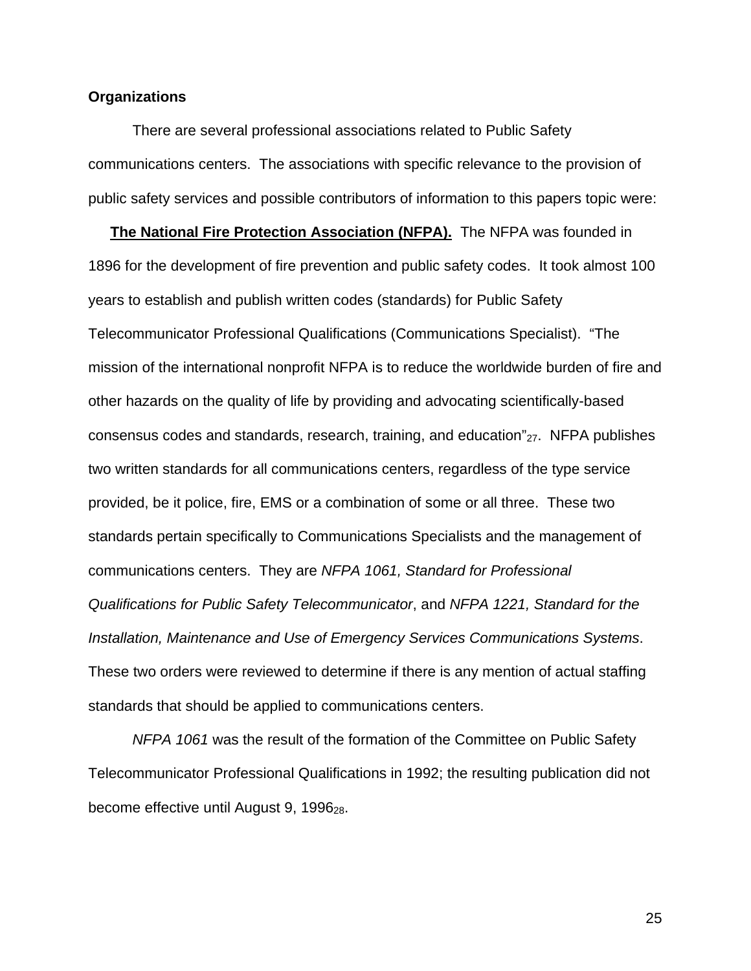### **Organizations**

There are several professional associations related to Public Safety communications centers. The associations with specific relevance to the provision of public safety services and possible contributors of information to this papers topic were:

**The National Fire Protection Association (NFPA).** The NFPA was founded in 1896 for the development of fire prevention and public safety codes. It took almost 100 years to establish and publish written codes (standards) for Public Safety Telecommunicator Professional Qualifications (Communications Specialist). "The mission of the international nonprofit NFPA is to reduce the worldwide burden of fire and other hazards on the quality of life by providing and advocating scientifically-based consensus codes and standards, research, training, and education" $_{27}$ . NFPA publishes two written standards for all communications centers, regardless of the type service provided, be it police, fire, EMS or a combination of some or all three. These two standards pertain specifically to Communications Specialists and the management of communications centers. They are *NFPA 1061, Standard for Professional Qualifications for Public Safety Telecommunicator*, and *NFPA 1221, Standard for the Installation, Maintenance and Use of Emergency Services Communications Systems*. These two orders were reviewed to determine if there is any mention of actual staffing standards that should be applied to communications centers.

*NFPA 1061* was the result of the formation of the Committee on Public Safety Telecommunicator Professional Qualifications in 1992; the resulting publication did not become effective until August 9,  $1996_{28}$ .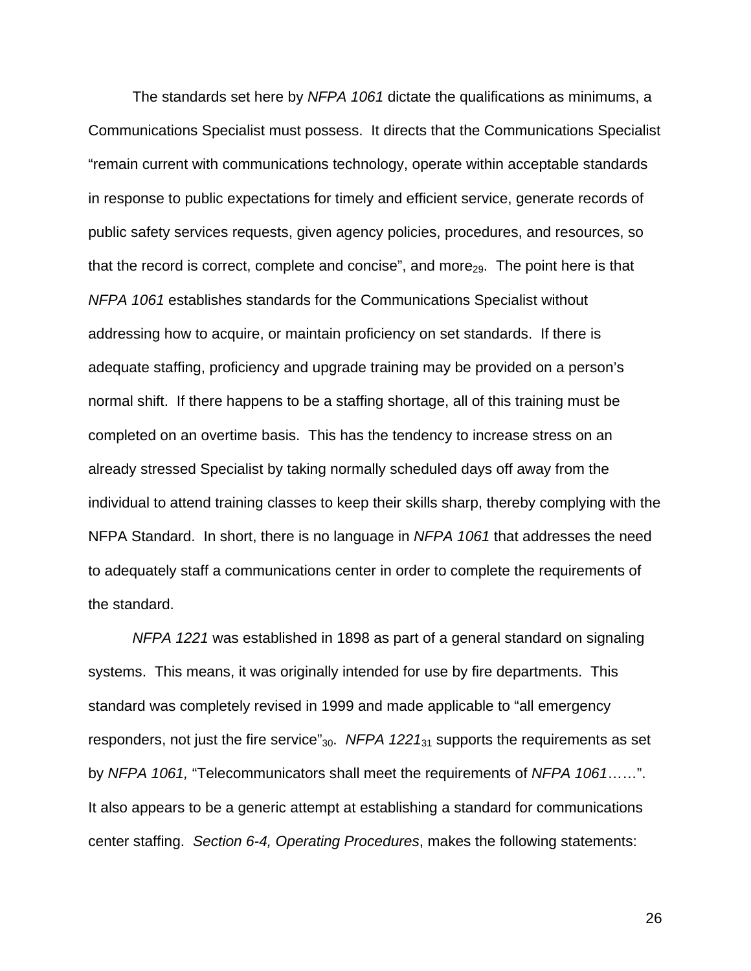The standards set here by *NFPA 1061* dictate the qualifications as minimums, a Communications Specialist must possess. It directs that the Communications Specialist "remain current with communications technology, operate within acceptable standards in response to public expectations for timely and efficient service, generate records of public safety services requests, given agency policies, procedures, and resources, so that the record is correct, complete and concise", and more<sub>29</sub>. The point here is that *NFPA 1061* establishes standards for the Communications Specialist without addressing how to acquire, or maintain proficiency on set standards. If there is adequate staffing, proficiency and upgrade training may be provided on a person's normal shift. If there happens to be a staffing shortage, all of this training must be completed on an overtime basis. This has the tendency to increase stress on an already stressed Specialist by taking normally scheduled days off away from the individual to attend training classes to keep their skills sharp, thereby complying with the NFPA Standard. In short, there is no language in *NFPA 1061* that addresses the need to adequately staff a communications center in order to complete the requirements of the standard.

*NFPA 1221* was established in 1898 as part of a general standard on signaling systems. This means, it was originally intended for use by fire departments. This standard was completely revised in 1999 and made applicable to "all emergency responders, not just the fire service" $_{30}$ . *NFPA 1221* $_{31}$  supports the requirements as set by *NFPA 1061,* "Telecommunicators shall meet the requirements of *NFPA 1061*……". It also appears to be a generic attempt at establishing a standard for communications center staffing. *Section 6-4, Operating Procedures*, makes the following statements: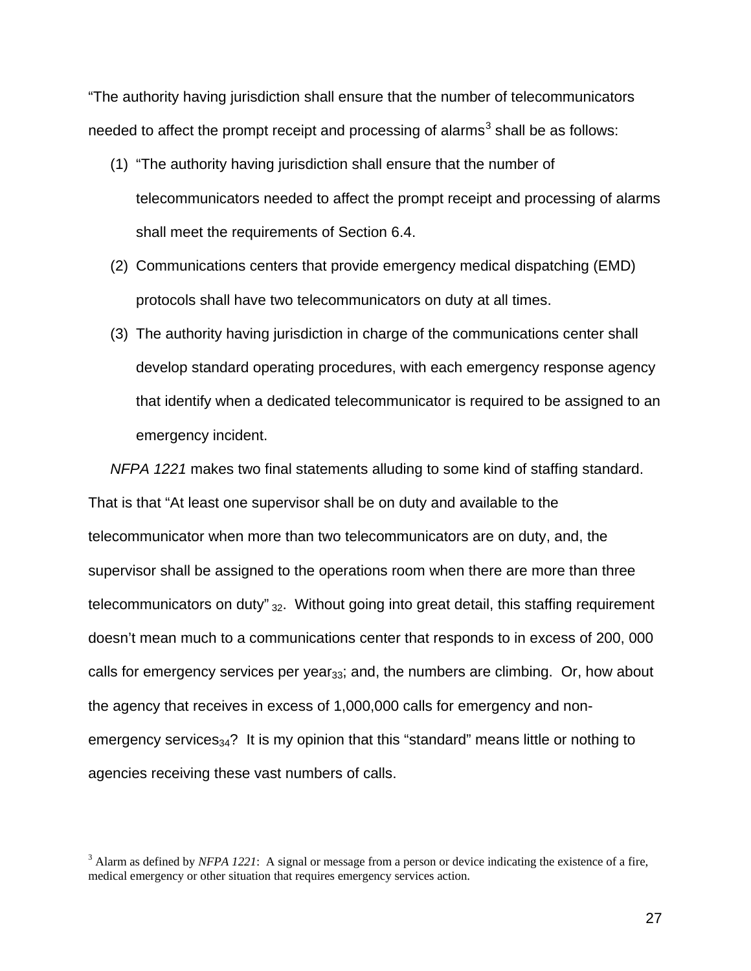"The authority having jurisdiction shall ensure that the number of telecommunicators needed to affect the prompt receipt and processing of alarms $^3$  $^3$  shall be as follows:

- (1) "The authority having jurisdiction shall ensure that the number of telecommunicators needed to affect the prompt receipt and processing of alarms shall meet the requirements of Section 6.4.
- (2) Communications centers that provide emergency medical dispatching (EMD) protocols shall have two telecommunicators on duty at all times.
- (3) The authority having jurisdiction in charge of the communications center shall develop standard operating procedures, with each emergency response agency that identify when a dedicated telecommunicator is required to be assigned to an emergency incident.

*NFPA 1221* makes two final statements alluding to some kind of staffing standard. That is that "At least one supervisor shall be on duty and available to the telecommunicator when more than two telecommunicators are on duty, and, the supervisor shall be assigned to the operations room when there are more than three telecommunicators on duty" $_{32}$ . Without going into great detail, this staffing requirement doesn't mean much to a communications center that responds to in excess of 200, 000 calls for emergency services per year $_{33}$ ; and, the numbers are climbing. Or, how about the agency that receives in excess of 1,000,000 calls for emergency and nonemergency services<sub>34</sub>? It is my opinion that this "standard" means little or nothing to agencies receiving these vast numbers of calls.

<span id="page-25-0"></span><sup>&</sup>lt;sup>3</sup> Alarm as defined by *NFPA 1221*: A signal or message from a person or device indicating the existence of a fire, medical emergency or other situation that requires emergency services action.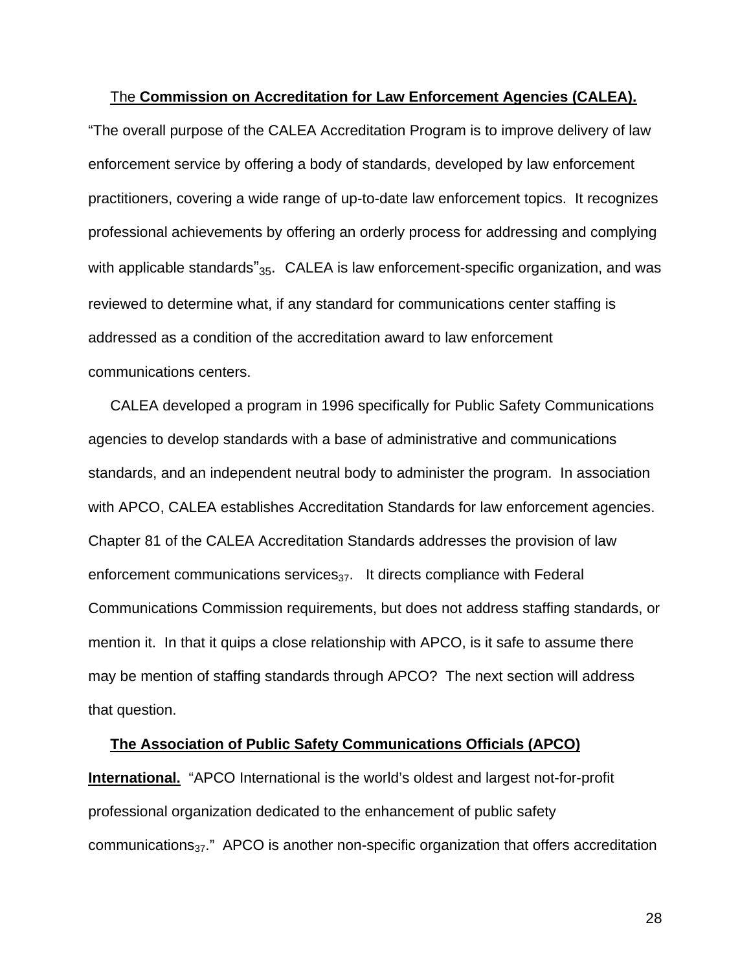#### The **Commission on Accreditation for Law Enforcement Agencies (CALEA).**

"The overall purpose of the CALEA Accreditation Program is to improve delivery of law enforcement service by offering a body of standards, developed by law enforcement practitioners, covering a wide range of up-to-date law enforcement topics. It recognizes professional achievements by offering an orderly process for addressing and complying with applicable standards $v_{35}$ . CALEA is law enforcement-specific organization, and was reviewed to determine what, if any standard for communications center staffing is addressed as a condition of the accreditation award to law enforcement communications centers.

CALEA developed a program in 1996 specifically for Public Safety Communications agencies to develop standards with a base of administrative and communications standards, and an independent neutral body to administer the program. In association with APCO, CALEA establishes Accreditation Standards for law enforcement agencies. Chapter 81 of the CALEA Accreditation Standards addresses the provision of law enforcement communications services $_{37}$ . It directs compliance with Federal Communications Commission requirements, but does not address staffing standards, or mention it. In that it quips a close relationship with APCO, is it safe to assume there may be mention of staffing standards through APCO? The next section will address that question.

# **The Association of Public Safety Communications Officials (APCO) International.** "APCO International is the world's oldest and largest not-for-profit professional organization dedicated to the enhancement of public safety communications $_{37}$ ." APCO is another non-specific organization that offers accreditation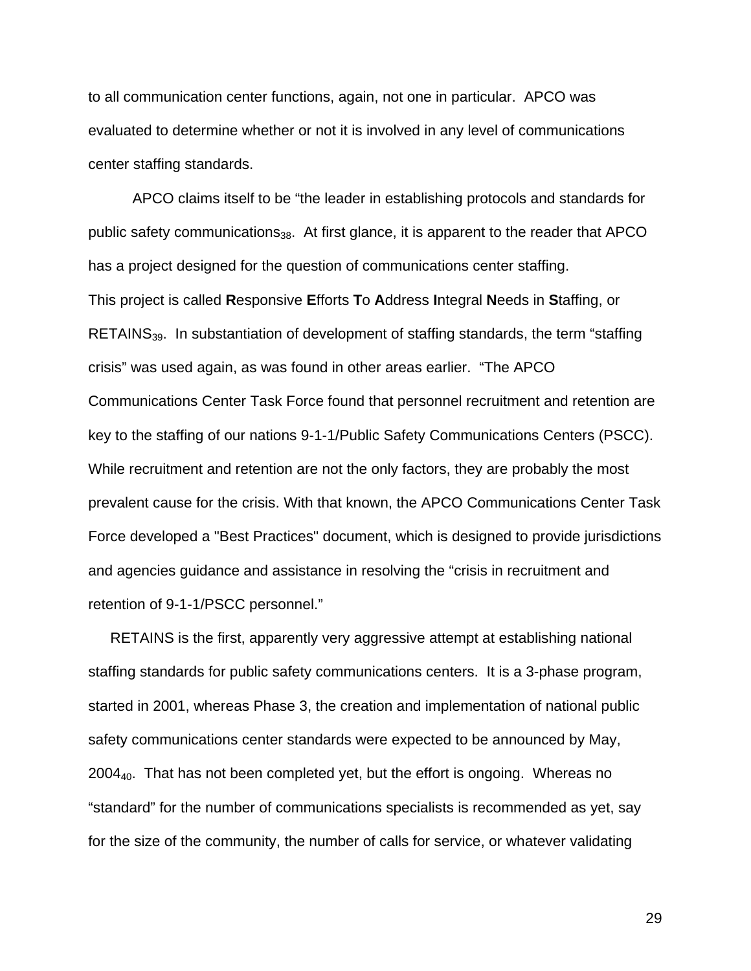to all communication center functions, again, not one in particular. APCO was evaluated to determine whether or not it is involved in any level of communications center staffing standards.

APCO claims itself to be "the leader in establishing protocols and standards for public safety communications<sub>38</sub>. At first glance, it is apparent to the reader that APCO has a project designed for the question of communications center staffing. This project is called **R**esponsive **E**fforts **T**o **A**ddress **I**ntegral **N**eeds in **S**taffing, or RETAINS<sub>39</sub>. In substantiation of development of staffing standards, the term "staffing" crisis" was used again, as was found in other areas earlier. "The APCO Communications Center Task Force found that personnel recruitment and retention are key to the staffing of our nations 9-1-1/Public Safety Communications Centers (PSCC). While recruitment and retention are not the only factors, they are probably the most prevalent cause for the crisis. With that known, the APCO Communications Center Task Force developed a "Best Practices" document, which is designed to provide jurisdictions and agencies guidance and assistance in resolving the "crisis in recruitment and retention of 9-1-1/PSCC personnel."

RETAINS is the first, apparently very aggressive attempt at establishing national staffing standards for public safety communications centers. It is a 3-phase program, started in 2001, whereas Phase 3, the creation and implementation of national public safety communications center standards were expected to be announced by May, 2004<sub>40</sub>. That has not been completed yet, but the effort is ongoing. Whereas no "standard" for the number of communications specialists is recommended as yet, say for the size of the community, the number of calls for service, or whatever validating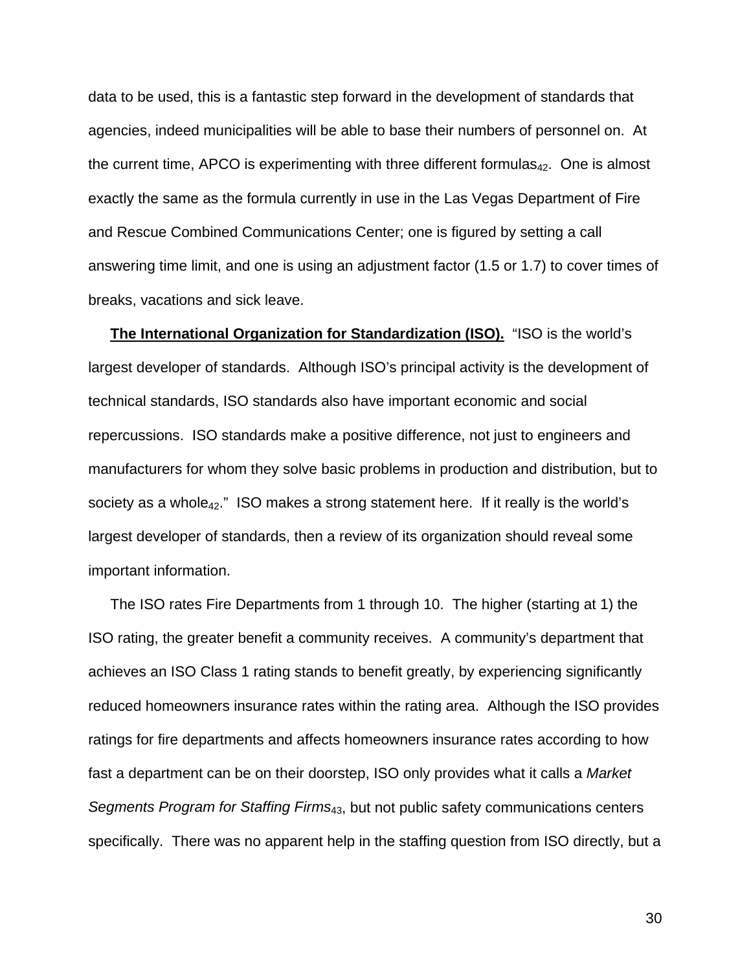data to be used, this is a fantastic step forward in the development of standards that agencies, indeed municipalities will be able to base their numbers of personnel on. At the current time, APCO is experimenting with three different formulas $_{42}$ . One is almost exactly the same as the formula currently in use in the Las Vegas Department of Fire and Rescue Combined Communications Center; one is figured by setting a call answering time limit, and one is using an adjustment factor (1.5 or 1.7) to cover times of breaks, vacations and sick leave.

**The International Organization for Standardization (ISO).** "ISO is the world's largest developer of standards. Although ISO's principal activity is the development of technical standards, ISO standards also have important economic and social repercussions. ISO standards make a positive difference, not just to engineers and manufacturers for whom they solve basic problems in production and distribution, but to society as a whole $_{42}$ ." ISO makes a strong statement here. If it really is the world's largest developer of standards, then a review of its organization should reveal some important information.

The ISO rates Fire Departments from 1 through 10. The higher (starting at 1) the ISO rating, the greater benefit a community receives. A community's department that achieves an ISO Class 1 rating stands to benefit greatly, by experiencing significantly reduced homeowners insurance rates within the rating area. Although the ISO provides ratings for fire departments and affects homeowners insurance rates according to how fast a department can be on their doorstep, ISO only provides what it calls a *Market Segments Program for Staffing Firms*43, but not public safety communications centers specifically. There was no apparent help in the staffing question from ISO directly, but a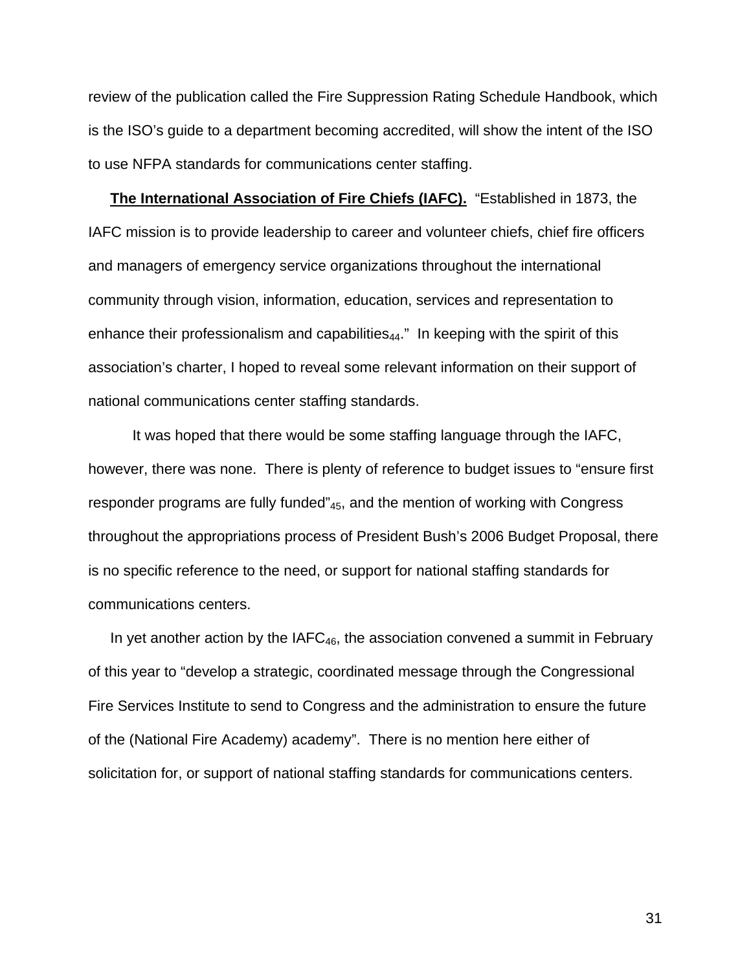review of the publication called the Fire Suppression Rating Schedule Handbook, which is the ISO's guide to a department becoming accredited, will show the intent of the ISO to use NFPA standards for communications center staffing.

**The International Association of Fire Chiefs (IAFC).** "Established in 1873, the IAFC mission is to provide leadership to career and volunteer chiefs, chief fire officers and managers of emergency service organizations throughout the international community through vision, information, education, services and representation to enhance their professionalism and capabilities $_{44}$ ." In keeping with the spirit of this association's charter, I hoped to reveal some relevant information on their support of national communications center staffing standards.

It was hoped that there would be some staffing language through the IAFC, however, there was none. There is plenty of reference to budget issues to "ensure first responder programs are fully funded"45, and the mention of working with Congress throughout the appropriations process of President Bush's 2006 Budget Proposal, there is no specific reference to the need, or support for national staffing standards for communications centers.

In yet another action by the IAF $C_{46}$ , the association convened a summit in February of this year to "develop a strategic, coordinated message through the Congressional Fire Services Institute to send to Congress and the administration to ensure the future of the (National Fire Academy) academy". There is no mention here either of solicitation for, or support of national staffing standards for communications centers.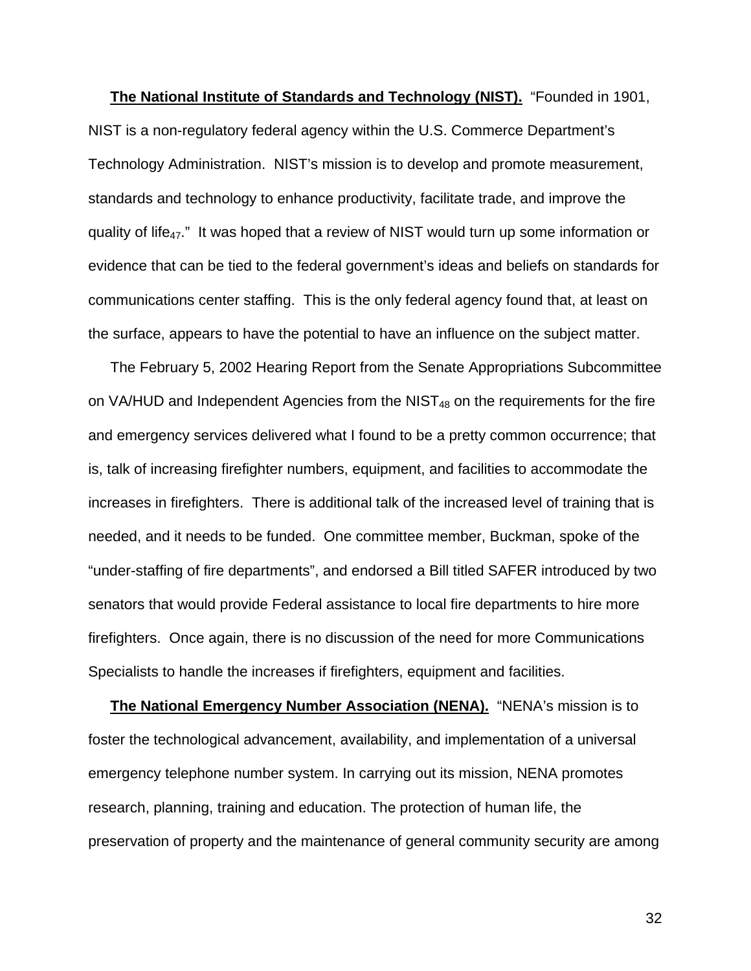**The National Institute of Standards and Technology (NIST).** "Founded in 1901, NIST is a non-regulatory federal agency within the U.S. [Commerce Department's](http://www.ta.doc.gov/)  [Technology Administration.](http://www.ta.doc.gov/) NIST's mission is to develop and promote measurement, standards and technology to enhance productivity, facilitate trade, and improve the quality of life<sub>47</sub>." It was hoped that a review of NIST would turn up some information or evidence that can be tied to the federal government's ideas and beliefs on standards for communications center staffing. This is the only federal agency found that, at least on the surface, appears to have the potential to have an influence on the subject matter.

The February 5, 2002 Hearing Report from the Senate Appropriations Subcommittee on VA/HUD and Independent Agencies from the NIST $_{48}$  on the requirements for the fire and emergency services delivered what I found to be a pretty common occurrence; that is, talk of increasing firefighter numbers, equipment, and facilities to accommodate the increases in firefighters. There is additional talk of the increased level of training that is needed, and it needs to be funded. One committee member, Buckman, spoke of the "under-staffing of fire departments", and endorsed a Bill titled SAFER introduced by two senators that would provide Federal assistance to local fire departments to hire more firefighters. Once again, there is no discussion of the need for more Communications Specialists to handle the increases if firefighters, equipment and facilities.

**The National Emergency Number Association (NENA).** "NENA's mission is to foster the technological advancement, availability, and implementation of a universal emergency telephone number system. In carrying out its mission, NENA promotes research, planning, training and education. The protection of human life, the preservation of property and the maintenance of general community security are among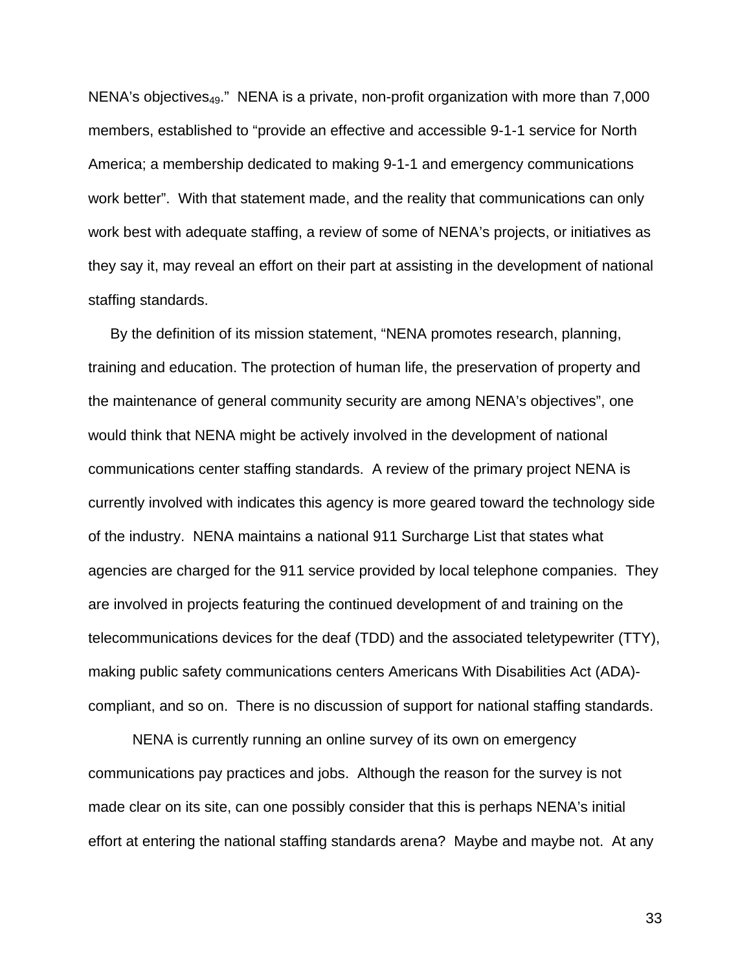NENA's objectives49." NENA is a private, non-profit organization with more than 7,000 members, established to "provide an effective and accessible 9-1-1 service for North America; a membership dedicated to making 9-1-1 and emergency communications work better". With that statement made, and the reality that communications can only work best with adequate staffing, a review of some of NENA's projects, or initiatives as they say it, may reveal an effort on their part at assisting in the development of national staffing standards.

By the definition of its mission statement, "NENA promotes research, planning, training and education. The protection of human life, the preservation of property and the maintenance of general community security are among NENA's objectives", one would think that NENA might be actively involved in the development of national communications center staffing standards. A review of the primary project NENA is currently involved with indicates this agency is more geared toward the technology side of the industry. NENA maintains a national 911 Surcharge List that states what agencies are charged for the 911 service provided by local telephone companies. They are involved in projects featuring the continued development of and training on the telecommunications devices for the deaf (TDD) and the associated teletypewriter (TTY), making public safety communications centers Americans With Disabilities Act (ADA) compliant, and so on. There is no discussion of support for national staffing standards.

NENA is currently running an online survey of its own on emergency communications pay practices and jobs. Although the reason for the survey is not made clear on its site, can one possibly consider that this is perhaps NENA's initial effort at entering the national staffing standards arena? Maybe and maybe not. At any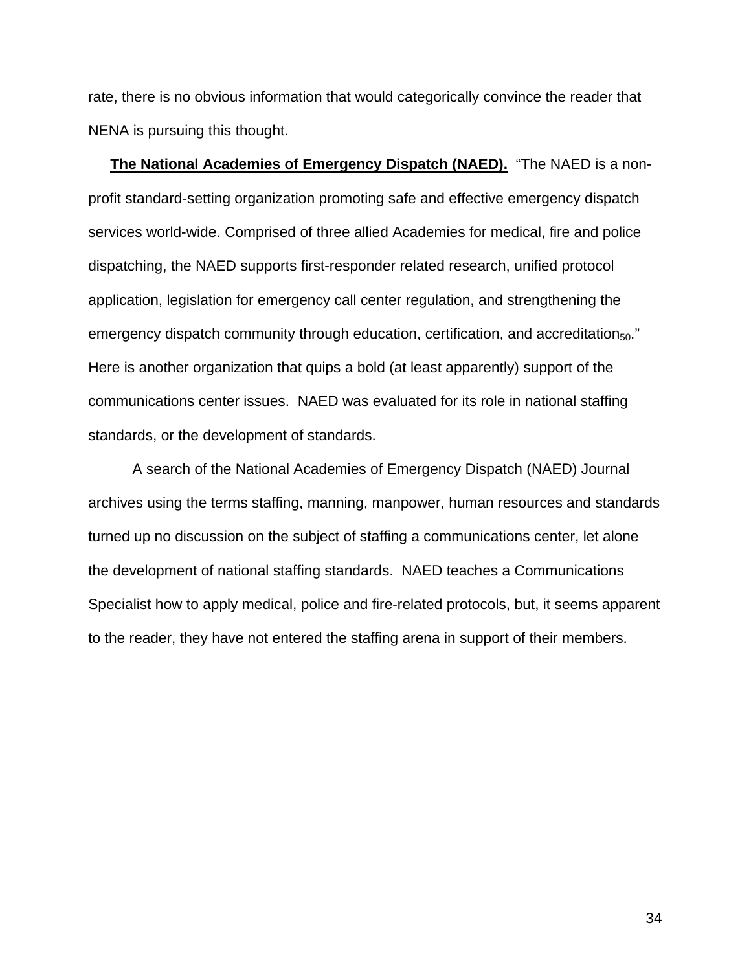rate, there is no obvious information that would categorically convince the reader that NENA is pursuing this thought.

**The National Academies of Emergency Dispatch (NAED).** "The NAED is a nonprofit standard-setting organization promoting safe and effective emergency dispatch services world-wide. Comprised of three allied Academies for medical, fire and police dispatching, the NAED supports first-responder related research, unified protocol application, legislation for emergency call center regulation, and strengthening the emergency dispatch community through education, certification, and accreditation $_{50}$ ." Here is another organization that quips a bold (at least apparently) support of the communications center issues. NAED was evaluated for its role in national staffing standards, or the development of standards.

A search of the National Academies of Emergency Dispatch (NAED) Journal archives using the terms staffing, manning, manpower, human resources and standards turned up no discussion on the subject of staffing a communications center, let alone the development of national staffing standards. NAED teaches a Communications Specialist how to apply medical, police and fire-related protocols, but, it seems apparent to the reader, they have not entered the staffing arena in support of their members.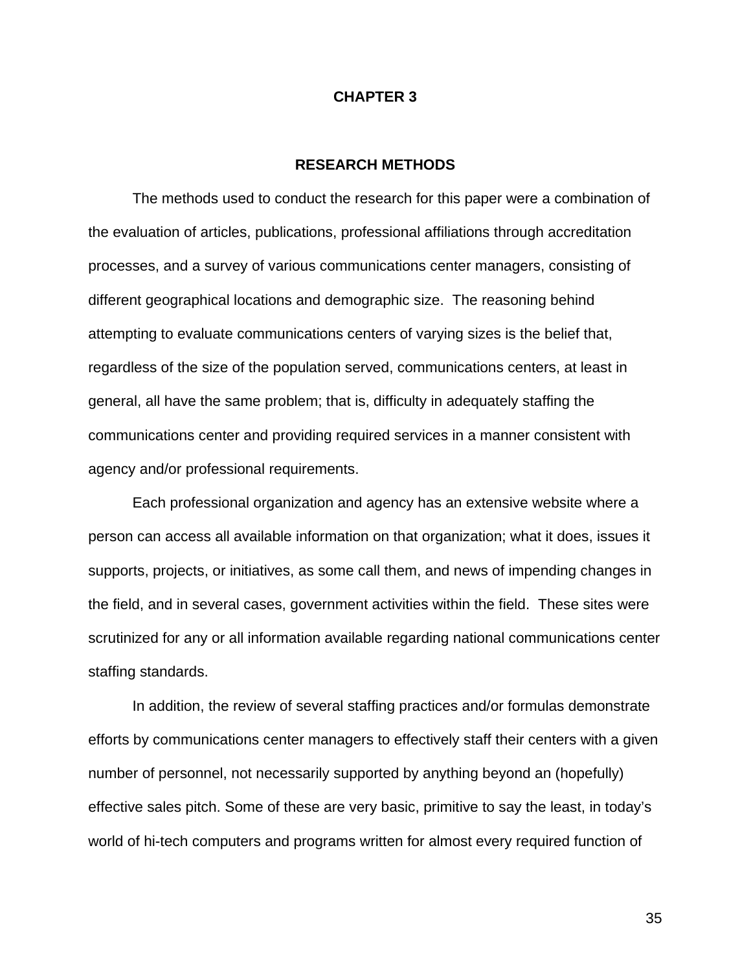### **CHAPTER 3**

### **RESEARCH METHODS**

The methods used to conduct the research for this paper were a combination of the evaluation of articles, publications, professional affiliations through accreditation processes, and a survey of various communications center managers, consisting of different geographical locations and demographic size. The reasoning behind attempting to evaluate communications centers of varying sizes is the belief that, regardless of the size of the population served, communications centers, at least in general, all have the same problem; that is, difficulty in adequately staffing the communications center and providing required services in a manner consistent with agency and/or professional requirements.

Each professional organization and agency has an extensive website where a person can access all available information on that organization; what it does, issues it supports, projects, or initiatives, as some call them, and news of impending changes in the field, and in several cases, government activities within the field. These sites were scrutinized for any or all information available regarding national communications center staffing standards.

In addition, the review of several staffing practices and/or formulas demonstrate efforts by communications center managers to effectively staff their centers with a given number of personnel, not necessarily supported by anything beyond an (hopefully) effective sales pitch. Some of these are very basic, primitive to say the least, in today's world of hi-tech computers and programs written for almost every required function of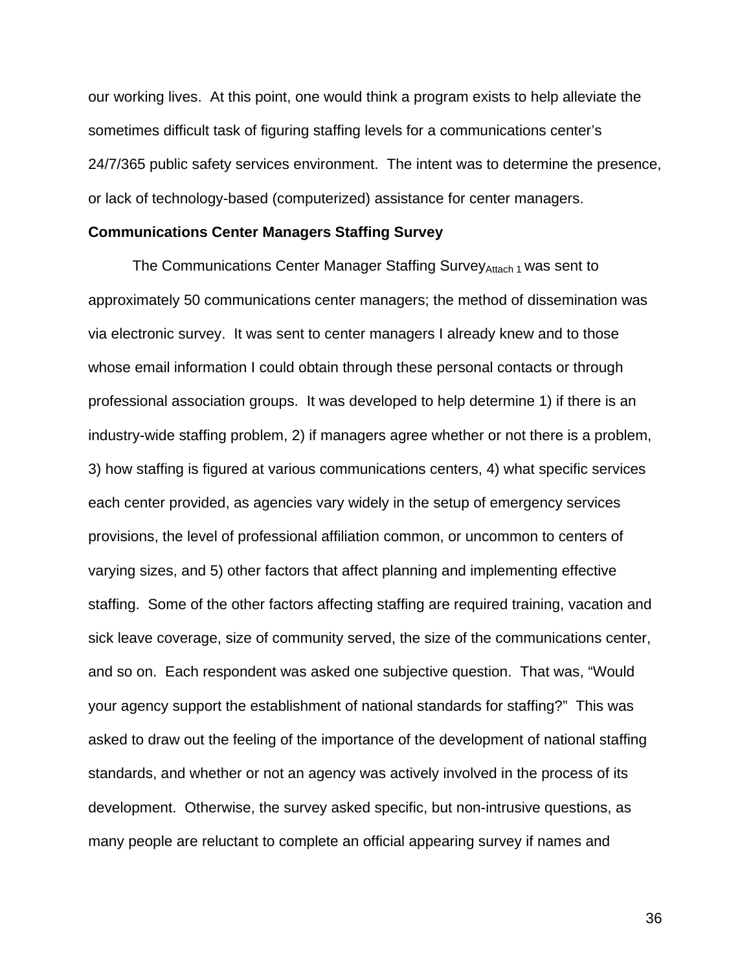our working lives. At this point, one would think a program exists to help alleviate the sometimes difficult task of figuring staffing levels for a communications center's 24/7/365 public safety services environment. The intent was to determine the presence, or lack of technology-based (computerized) assistance for center managers.

#### **Communications Center Managers Staffing Survey**

The Communications Center Manager Staffing Survey Attach 1 was sent to approximately 50 communications center managers; the method of dissemination was via electronic survey. It was sent to center managers I already knew and to those whose email information I could obtain through these personal contacts or through professional association groups. It was developed to help determine 1) if there is an industry-wide staffing problem, 2) if managers agree whether or not there is a problem, 3) how staffing is figured at various communications centers, 4) what specific services each center provided, as agencies vary widely in the setup of emergency services provisions, the level of professional affiliation common, or uncommon to centers of varying sizes, and 5) other factors that affect planning and implementing effective staffing. Some of the other factors affecting staffing are required training, vacation and sick leave coverage, size of community served, the size of the communications center, and so on. Each respondent was asked one subjective question. That was, "Would your agency support the establishment of national standards for staffing?" This was asked to draw out the feeling of the importance of the development of national staffing standards, and whether or not an agency was actively involved in the process of its development. Otherwise, the survey asked specific, but non-intrusive questions, as many people are reluctant to complete an official appearing survey if names and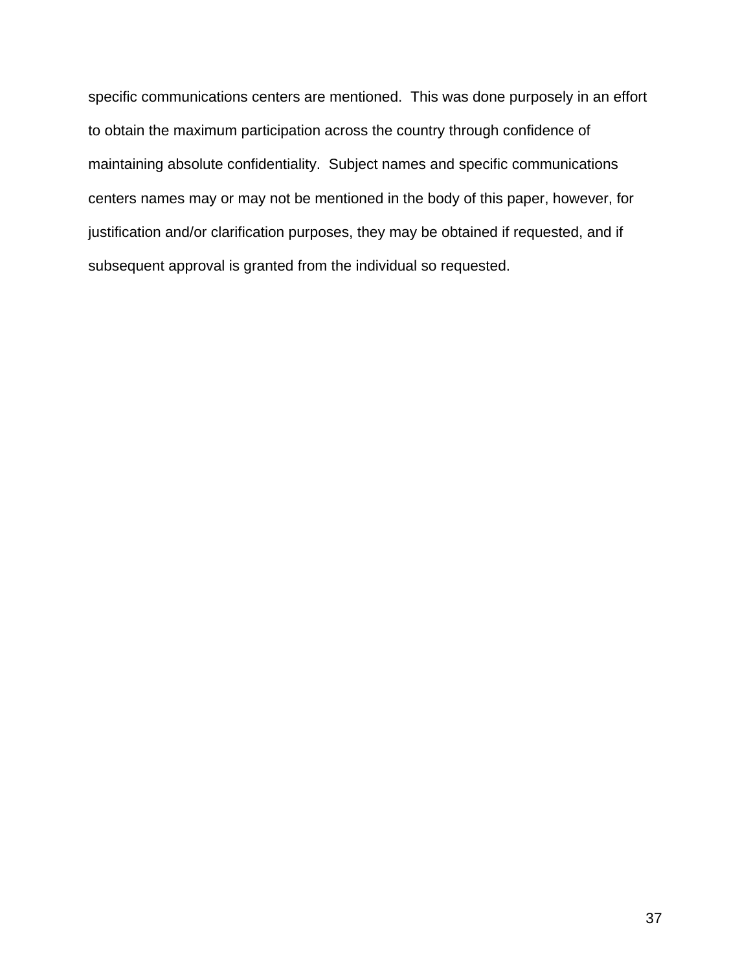specific communications centers are mentioned. This was done purposely in an effort to obtain the maximum participation across the country through confidence of maintaining absolute confidentiality. Subject names and specific communications centers names may or may not be mentioned in the body of this paper, however, for justification and/or clarification purposes, they may be obtained if requested, and if subsequent approval is granted from the individual so requested.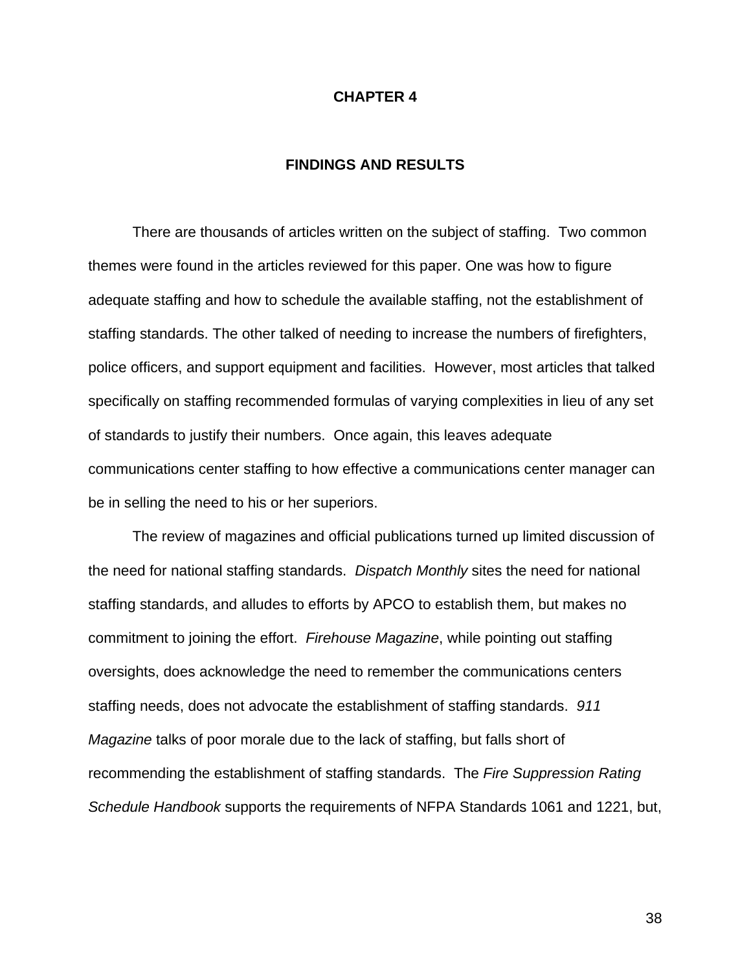### **CHAPTER 4**

## **FINDINGS AND RESULTS**

There are thousands of articles written on the subject of staffing. Two common themes were found in the articles reviewed for this paper. One was how to figure adequate staffing and how to schedule the available staffing, not the establishment of staffing standards. The other talked of needing to increase the numbers of firefighters, police officers, and support equipment and facilities. However, most articles that talked specifically on staffing recommended formulas of varying complexities in lieu of any set of standards to justify their numbers. Once again, this leaves adequate communications center staffing to how effective a communications center manager can be in selling the need to his or her superiors.

The review of magazines and official publications turned up limited discussion of the need for national staffing standards. *Dispatch Monthly* sites the need for national staffing standards, and alludes to efforts by APCO to establish them, but makes no commitment to joining the effort. *Firehouse Magazine*, while pointing out staffing oversights, does acknowledge the need to remember the communications centers staffing needs, does not advocate the establishment of staffing standards. *911 Magazine* talks of poor morale due to the lack of staffing, but falls short of recommending the establishment of staffing standards. The *Fire Suppression Rating Schedule Handbook* supports the requirements of NFPA Standards 1061 and 1221, but,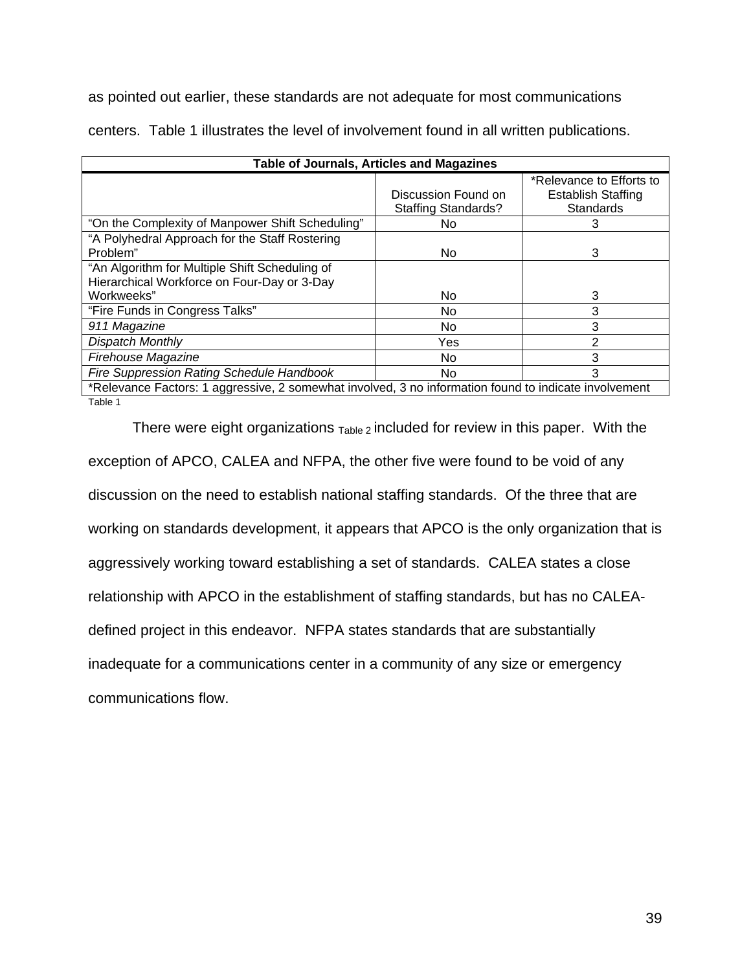as pointed out earlier, these standards are not adequate for most communications

| Table of Journals, Articles and Magazines                                                             |                                                   |                                                                    |  |  |
|-------------------------------------------------------------------------------------------------------|---------------------------------------------------|--------------------------------------------------------------------|--|--|
|                                                                                                       | Discussion Found on<br><b>Staffing Standards?</b> | *Relevance to Efforts to<br>Establish Staffing<br><b>Standards</b> |  |  |
| "On the Complexity of Manpower Shift Scheduling"                                                      | No.                                               | 3                                                                  |  |  |
| "A Polyhedral Approach for the Staff Rostering                                                        |                                                   |                                                                    |  |  |
| Problem"                                                                                              | No.                                               | 3                                                                  |  |  |
| "An Algorithm for Multiple Shift Scheduling of<br>Hierarchical Workforce on Four-Day or 3-Day         |                                                   |                                                                    |  |  |
| Workweeks"                                                                                            | No                                                | 3                                                                  |  |  |
| "Fire Funds in Congress Talks"                                                                        | No.                                               | 3                                                                  |  |  |
| 911 Magazine                                                                                          | No                                                | 3                                                                  |  |  |
| Dispatch Monthly                                                                                      | Yes                                               | 2                                                                  |  |  |
| Firehouse Magazine                                                                                    | No.                                               | 3                                                                  |  |  |
| <b>Fire Suppression Rating Schedule Handbook</b>                                                      | No.                                               | 3                                                                  |  |  |
| *Relevance Factors: 1 aggressive, 2 somewhat involved, 3 no information found to indicate involvement |                                                   |                                                                    |  |  |

centers. Table 1 illustrates the level of involvement found in all written publications.

Table 1

There were eight organizations  $T_{\text{able 2}}$  included for review in this paper. With the exception of APCO, CALEA and NFPA, the other five were found to be void of any discussion on the need to establish national staffing standards. Of the three that are working on standards development, it appears that APCO is the only organization that is aggressively working toward establishing a set of standards. CALEA states a close relationship with APCO in the establishment of staffing standards, but has no CALEAdefined project in this endeavor. NFPA states standards that are substantially inadequate for a communications center in a community of any size or emergency communications flow.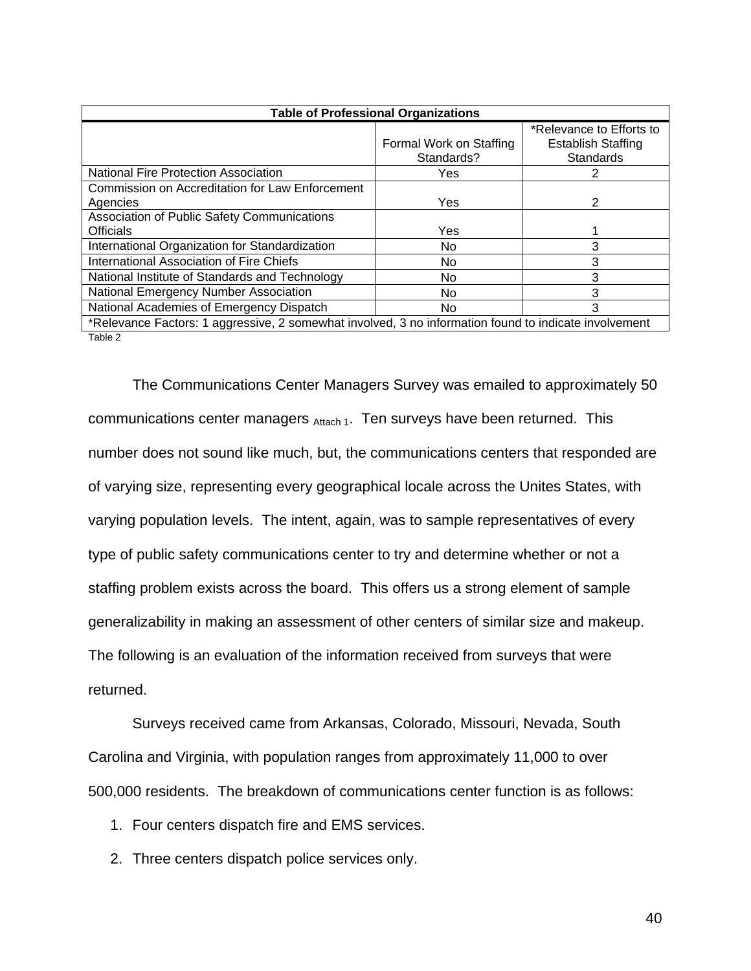|                                                                                                       | <b>Table of Professional Organizations</b> |                                                                           |  |
|-------------------------------------------------------------------------------------------------------|--------------------------------------------|---------------------------------------------------------------------------|--|
|                                                                                                       | Formal Work on Staffing<br>Standards?      | *Relevance to Efforts to<br><b>Establish Staffing</b><br><b>Standards</b> |  |
| <b>National Fire Protection Association</b>                                                           | Yes                                        | 2                                                                         |  |
| Commission on Accreditation for Law Enforcement<br>Agencies                                           | Yes                                        | 2                                                                         |  |
| <b>Association of Public Safety Communications</b>                                                    |                                            |                                                                           |  |
| <b>Officials</b>                                                                                      | Yes                                        |                                                                           |  |
| International Organization for Standardization                                                        | No.                                        | з                                                                         |  |
| International Association of Fire Chiefs                                                              | No.                                        | 3                                                                         |  |
| National Institute of Standards and Technology                                                        | No.                                        | 3                                                                         |  |
| National Emergency Number Association                                                                 | No.                                        | 3                                                                         |  |
| National Academies of Emergency Dispatch                                                              | No.                                        | 3                                                                         |  |
| *Relevance Factors: 1 aggressive, 2 somewhat involved, 3 no information found to indicate involvement |                                            |                                                                           |  |
| Table 2                                                                                               |                                            |                                                                           |  |

The Communications Center Managers Survey was emailed to approximately 50 communications center managers  $_{\text{Attack 1}}$ . Ten surveys have been returned. This number does not sound like much, but, the communications centers that responded are of varying size, representing every geographical locale across the Unites States, with varying population levels. The intent, again, was to sample representatives of every type of public safety communications center to try and determine whether or not a staffing problem exists across the board. This offers us a strong element of sample generalizability in making an assessment of other centers of similar size and makeup. The following is an evaluation of the information received from surveys that were returned.

Surveys received came from Arkansas, Colorado, Missouri, Nevada, South Carolina and Virginia, with population ranges from approximately 11,000 to over 500,000 residents. The breakdown of communications center function is as follows:

1. Four centers dispatch fire and EMS services.

2. Three centers dispatch police services only.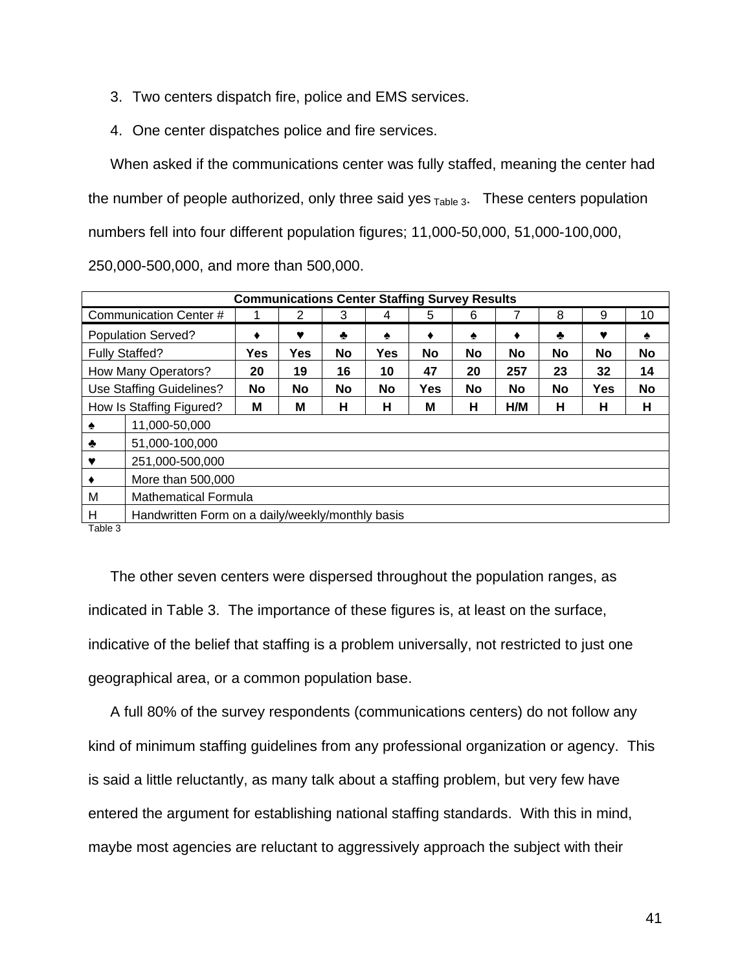- 3. Two centers dispatch fire, police and EMS services.
- 4. One center dispatches police and fire services.

When asked if the communications center was fully staffed, meaning the center had the number of people authorized, only three said yes  $T_{\text{able 3}}$ . These centers population numbers fell into four different population figures; 11,000-50,000, 51,000-100,000,

250,000-500,000, and more than 500,000.

| <b>Communications Center Staffing Survey Results</b> |                                                  |           |            |    |           |           |    |     |    |            |           |
|------------------------------------------------------|--------------------------------------------------|-----------|------------|----|-----------|-----------|----|-----|----|------------|-----------|
|                                                      | Communication Center #                           |           | 2          | 3  | 4         | 5         | 6  |     | 8  | 9          | 10        |
|                                                      | <b>Population Served?</b>                        | ٠         | ♥          | ۰  | ♠         | ٠         | ♠  | ٠   | ♣  | v          | ٠         |
|                                                      | <b>Fully Staffed?</b>                            | Yes       | <b>Yes</b> | No | Yes       | <b>No</b> | No | No  | No | No         | No        |
|                                                      | How Many Operators?                              | 20        | 19         | 16 | 10        | 47        | 20 | 257 | 23 | 32         | 14        |
|                                                      | Use Staffing Guidelines?                         | <b>No</b> | No         | No | <b>No</b> | Yes       | No | No  | No | <b>Yes</b> | <b>No</b> |
|                                                      | How Is Staffing Figured?                         | М         | М          | н  | н         | Μ         | н  | H/M | н  | н          | н         |
| ♠                                                    | 11,000-50,000                                    |           |            |    |           |           |    |     |    |            |           |
| ♣                                                    | 51,000-100,000                                   |           |            |    |           |           |    |     |    |            |           |
| v                                                    | 251,000-500,000                                  |           |            |    |           |           |    |     |    |            |           |
|                                                      | More than 500,000                                |           |            |    |           |           |    |     |    |            |           |
| M                                                    | <b>Mathematical Formula</b>                      |           |            |    |           |           |    |     |    |            |           |
| Н<br>-                                               | Handwritten Form on a daily/weekly/monthly basis |           |            |    |           |           |    |     |    |            |           |

Table 3

The other seven centers were dispersed throughout the population ranges, as indicated in Table 3. The importance of these figures is, at least on the surface, indicative of the belief that staffing is a problem universally, not restricted to just one geographical area, or a common population base.

A full 80% of the survey respondents (communications centers) do not follow any kind of minimum staffing guidelines from any professional organization or agency. This is said a little reluctantly, as many talk about a staffing problem, but very few have entered the argument for establishing national staffing standards. With this in mind, maybe most agencies are reluctant to aggressively approach the subject with their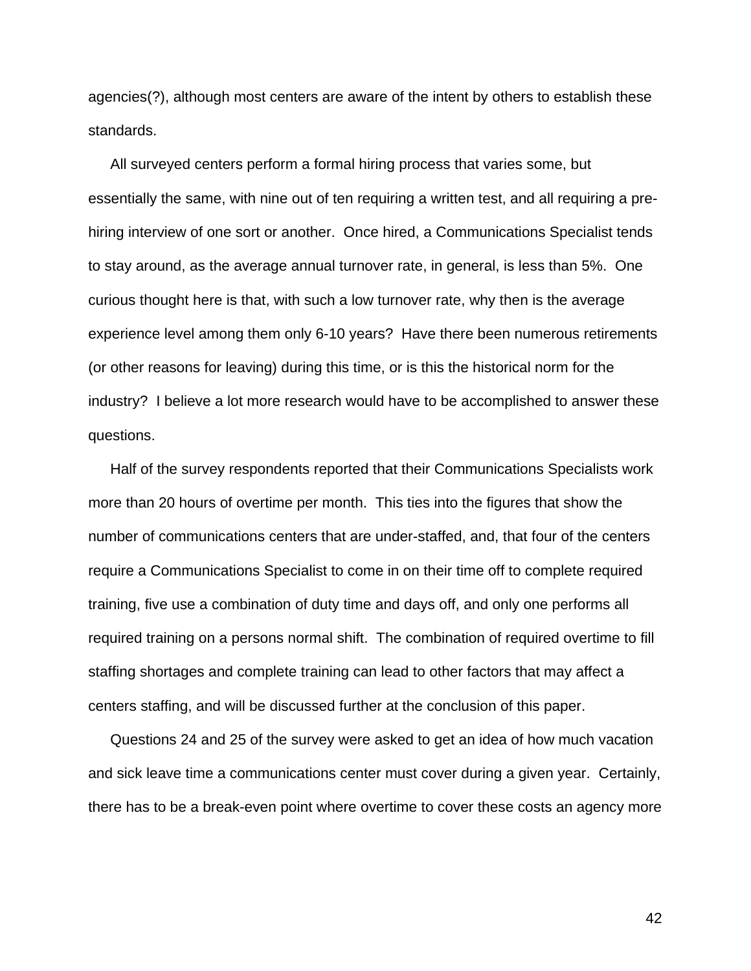agencies(?), although most centers are aware of the intent by others to establish these standards.

All surveyed centers perform a formal hiring process that varies some, but essentially the same, with nine out of ten requiring a written test, and all requiring a prehiring interview of one sort or another. Once hired, a Communications Specialist tends to stay around, as the average annual turnover rate, in general, is less than 5%. One curious thought here is that, with such a low turnover rate, why then is the average experience level among them only 6-10 years? Have there been numerous retirements (or other reasons for leaving) during this time, or is this the historical norm for the industry? I believe a lot more research would have to be accomplished to answer these questions.

Half of the survey respondents reported that their Communications Specialists work more than 20 hours of overtime per month. This ties into the figures that show the number of communications centers that are under-staffed, and, that four of the centers require a Communications Specialist to come in on their time off to complete required training, five use a combination of duty time and days off, and only one performs all required training on a persons normal shift. The combination of required overtime to fill staffing shortages and complete training can lead to other factors that may affect a centers staffing, and will be discussed further at the conclusion of this paper.

Questions 24 and 25 of the survey were asked to get an idea of how much vacation and sick leave time a communications center must cover during a given year. Certainly, there has to be a break-even point where overtime to cover these costs an agency more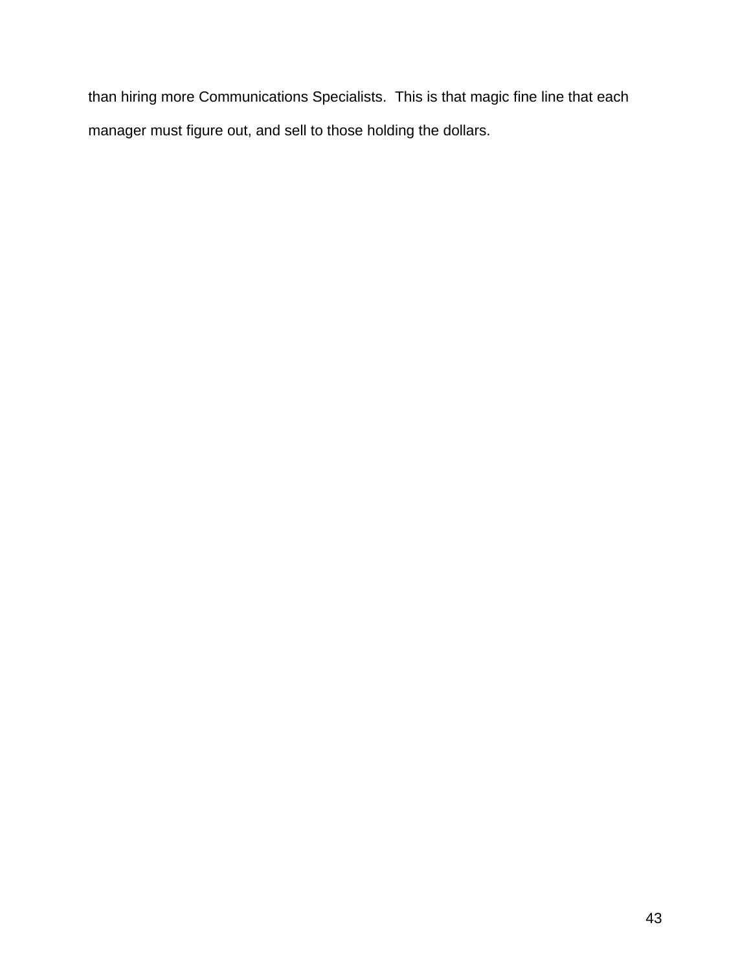than hiring more Communications Specialists. This is that magic fine line that each manager must figure out, and sell to those holding the dollars.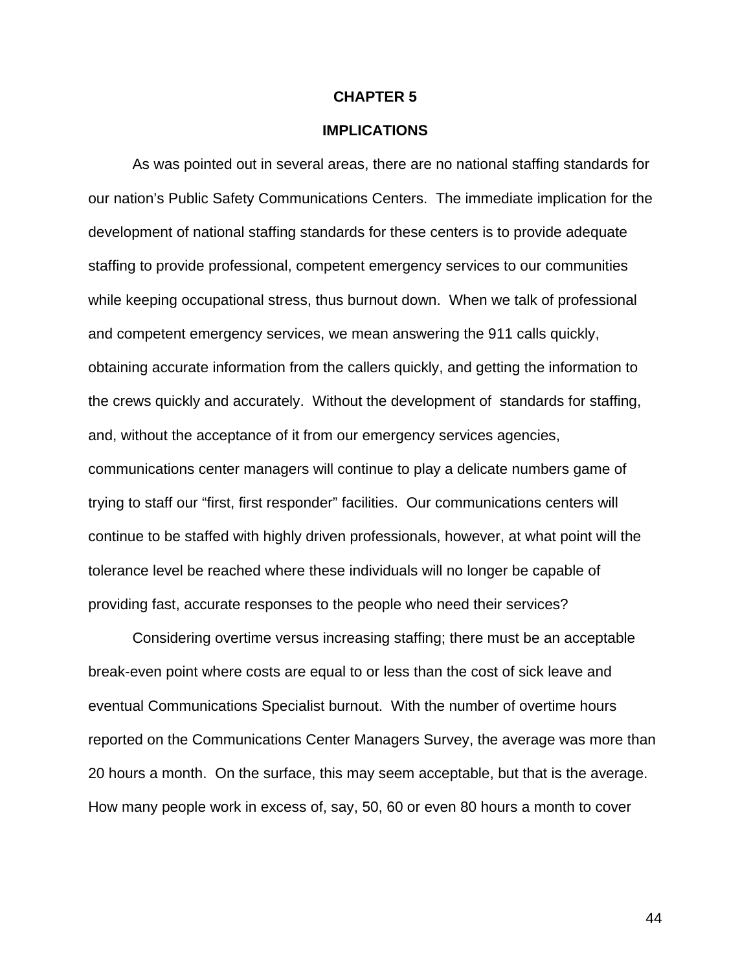### **CHAPTER 5**

### **IMPLICATIONS**

As was pointed out in several areas, there are no national staffing standards for our nation's Public Safety Communications Centers. The immediate implication for the development of national staffing standards for these centers is to provide adequate staffing to provide professional, competent emergency services to our communities while keeping occupational stress, thus burnout down. When we talk of professional and competent emergency services, we mean answering the 911 calls quickly, obtaining accurate information from the callers quickly, and getting the information to the crews quickly and accurately. Without the development of standards for staffing, and, without the acceptance of it from our emergency services agencies, communications center managers will continue to play a delicate numbers game of trying to staff our "first, first responder" facilities. Our communications centers will continue to be staffed with highly driven professionals, however, at what point will the tolerance level be reached where these individuals will no longer be capable of providing fast, accurate responses to the people who need their services?

Considering overtime versus increasing staffing; there must be an acceptable break-even point where costs are equal to or less than the cost of sick leave and eventual Communications Specialist burnout. With the number of overtime hours reported on the Communications Center Managers Survey, the average was more than 20 hours a month. On the surface, this may seem acceptable, but that is the average. How many people work in excess of, say, 50, 60 or even 80 hours a month to cover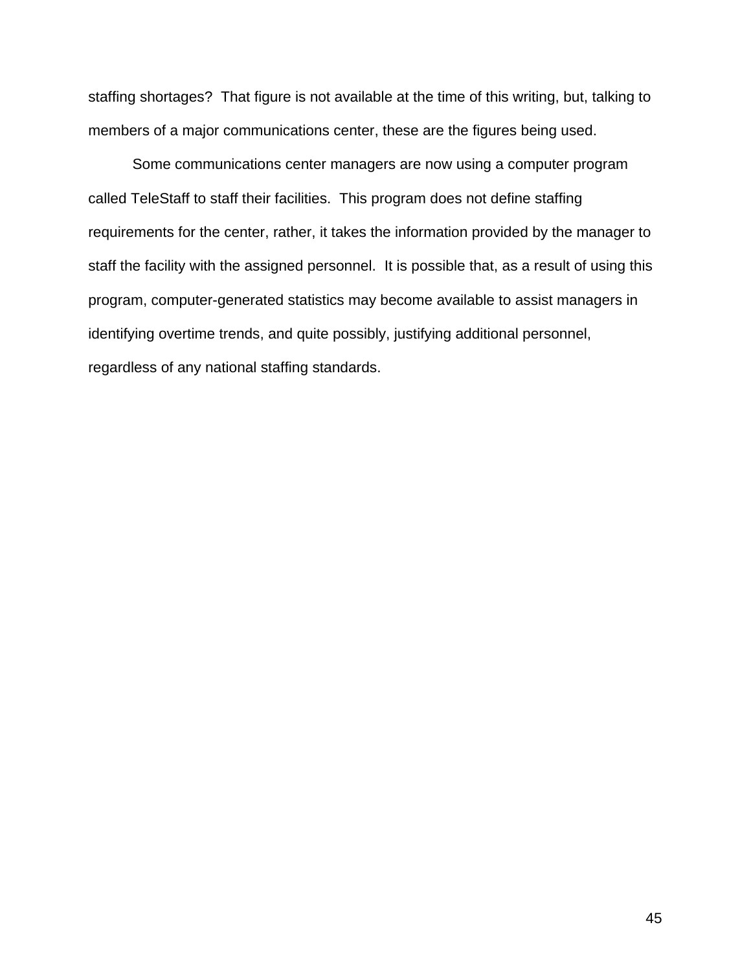staffing shortages? That figure is not available at the time of this writing, but, talking to members of a major communications center, these are the figures being used.

Some communications center managers are now using a computer program called TeleStaff to staff their facilities. This program does not define staffing requirements for the center, rather, it takes the information provided by the manager to staff the facility with the assigned personnel. It is possible that, as a result of using this program, computer-generated statistics may become available to assist managers in identifying overtime trends, and quite possibly, justifying additional personnel, regardless of any national staffing standards.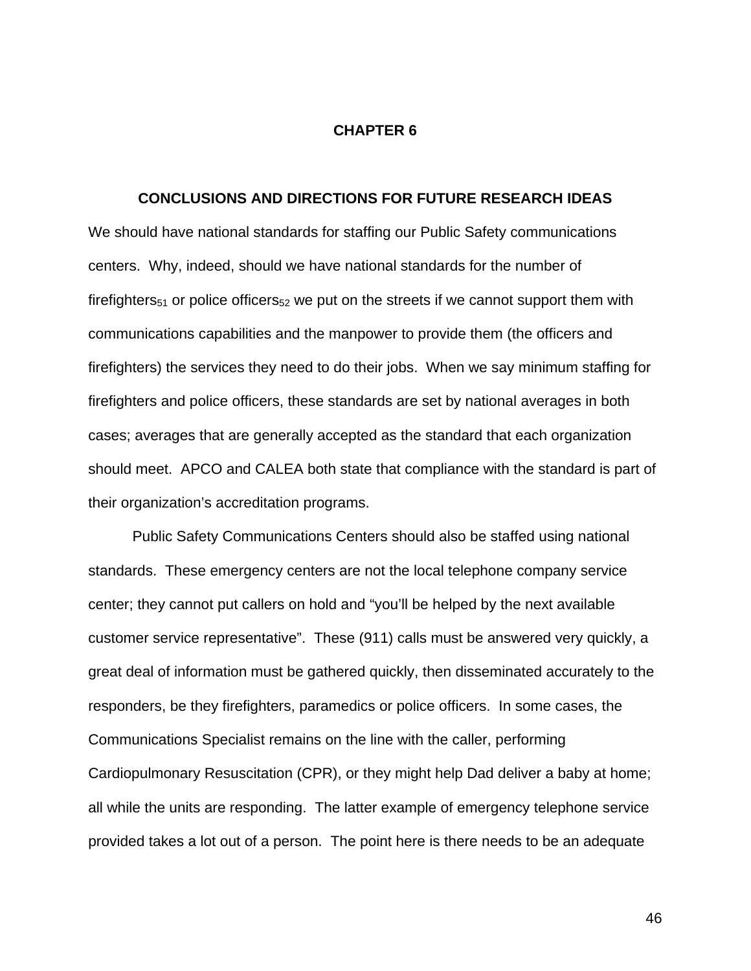### **CHAPTER 6**

### **CONCLUSIONS AND DIRECTIONS FOR FUTURE RESEARCH IDEAS**

We should have national standards for staffing our Public Safety communications centers. Why, indeed, should we have national standards for the number of firefighters<sub>51</sub> or police officers<sub>52</sub> we put on the streets if we cannot support them with communications capabilities and the manpower to provide them (the officers and firefighters) the services they need to do their jobs. When we say minimum staffing for firefighters and police officers, these standards are set by national averages in both cases; averages that are generally accepted as the standard that each organization should meet. APCO and CALEA both state that compliance with the standard is part of their organization's accreditation programs.

Public Safety Communications Centers should also be staffed using national standards. These emergency centers are not the local telephone company service center; they cannot put callers on hold and "you'll be helped by the next available customer service representative". These (911) calls must be answered very quickly, a great deal of information must be gathered quickly, then disseminated accurately to the responders, be they firefighters, paramedics or police officers. In some cases, the Communications Specialist remains on the line with the caller, performing Cardiopulmonary Resuscitation (CPR), or they might help Dad deliver a baby at home; all while the units are responding. The latter example of emergency telephone service provided takes a lot out of a person. The point here is there needs to be an adequate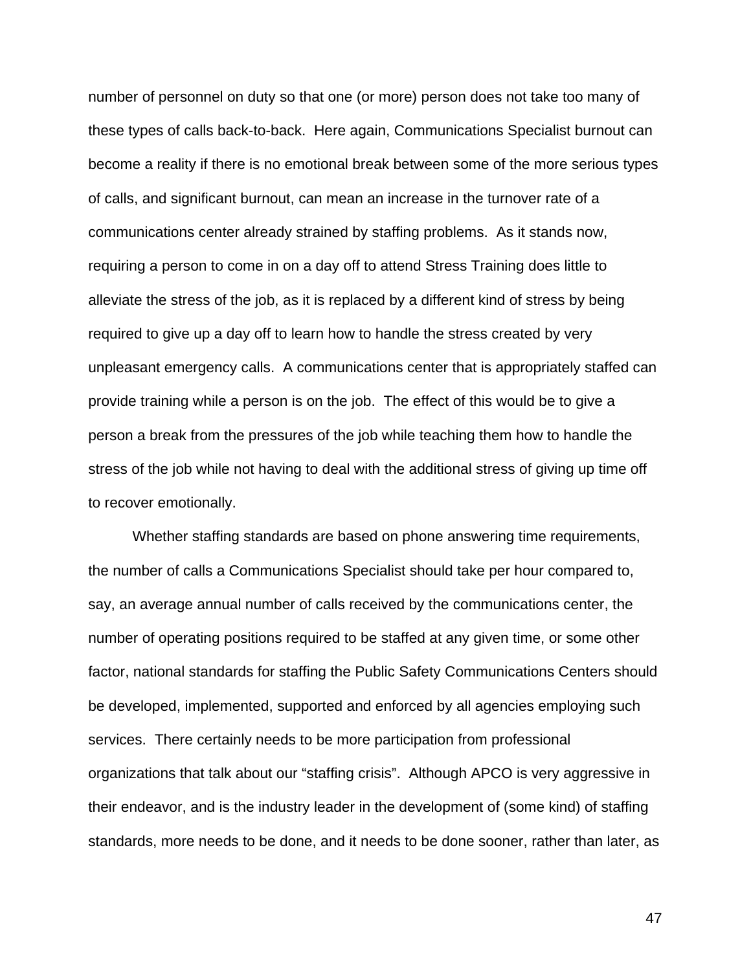number of personnel on duty so that one (or more) person does not take too many of these types of calls back-to-back. Here again, Communications Specialist burnout can become a reality if there is no emotional break between some of the more serious types of calls, and significant burnout, can mean an increase in the turnover rate of a communications center already strained by staffing problems. As it stands now, requiring a person to come in on a day off to attend Stress Training does little to alleviate the stress of the job, as it is replaced by a different kind of stress by being required to give up a day off to learn how to handle the stress created by very unpleasant emergency calls. A communications center that is appropriately staffed can provide training while a person is on the job. The effect of this would be to give a person a break from the pressures of the job while teaching them how to handle the stress of the job while not having to deal with the additional stress of giving up time off to recover emotionally.

Whether staffing standards are based on phone answering time requirements, the number of calls a Communications Specialist should take per hour compared to, say, an average annual number of calls received by the communications center, the number of operating positions required to be staffed at any given time, or some other factor, national standards for staffing the Public Safety Communications Centers should be developed, implemented, supported and enforced by all agencies employing such services. There certainly needs to be more participation from professional organizations that talk about our "staffing crisis". Although APCO is very aggressive in their endeavor, and is the industry leader in the development of (some kind) of staffing standards, more needs to be done, and it needs to be done sooner, rather than later, as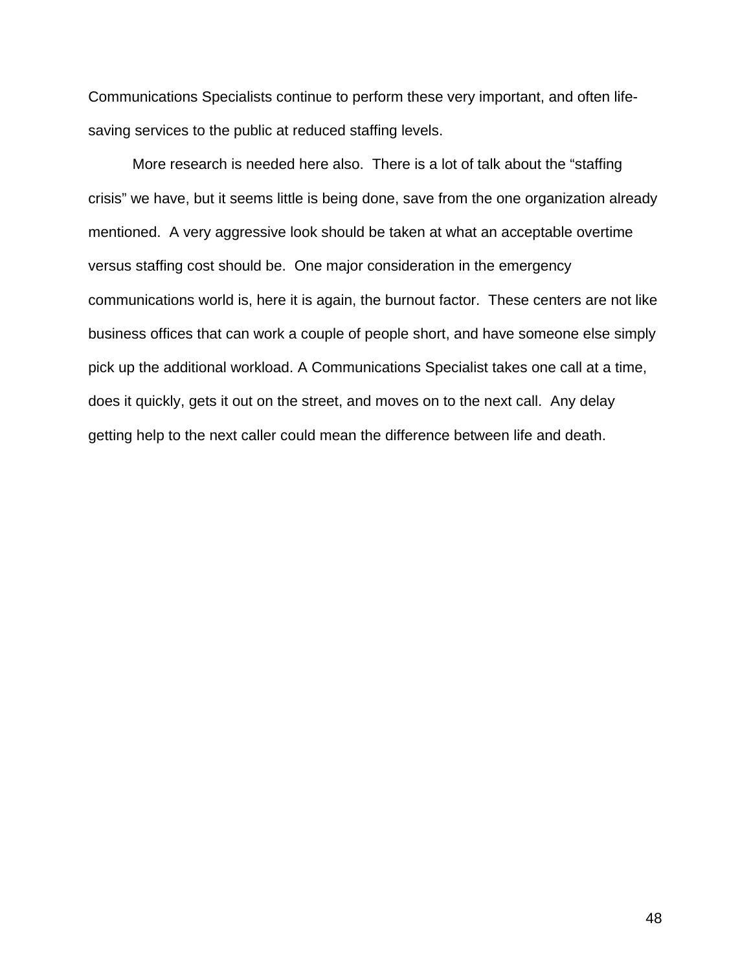Communications Specialists continue to perform these very important, and often lifesaving services to the public at reduced staffing levels.

More research is needed here also. There is a lot of talk about the "staffing crisis" we have, but it seems little is being done, save from the one organization already mentioned. A very aggressive look should be taken at what an acceptable overtime versus staffing cost should be. One major consideration in the emergency communications world is, here it is again, the burnout factor. These centers are not like business offices that can work a couple of people short, and have someone else simply pick up the additional workload. A Communications Specialist takes one call at a time, does it quickly, gets it out on the street, and moves on to the next call. Any delay getting help to the next caller could mean the difference between life and death.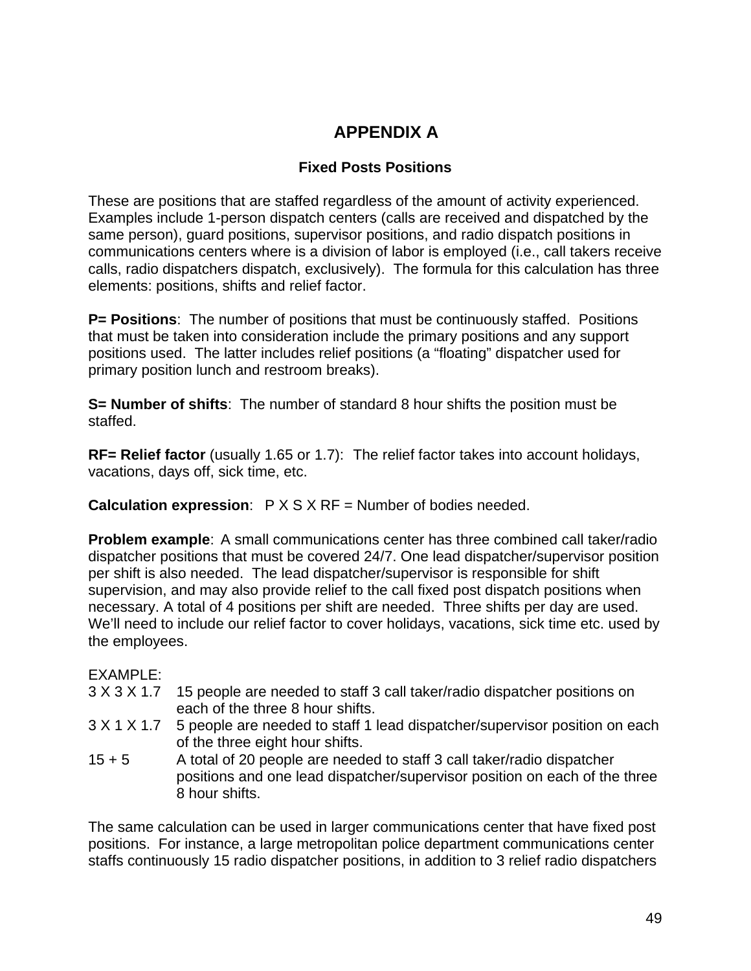# **APPENDIX A**

## **Fixed Posts Positions**

These are positions that are staffed regardless of the amount of activity experienced. Examples include 1-person dispatch centers (calls are received and dispatched by the same person), guard positions, supervisor positions, and radio dispatch positions in communications centers where is a division of labor is employed (i.e., call takers receive calls, radio dispatchers dispatch, exclusively). The formula for this calculation has three elements: positions, shifts and relief factor.

**P= Positions**: The number of positions that must be continuously staffed. Positions that must be taken into consideration include the primary positions and any support positions used. The latter includes relief positions (a "floating" dispatcher used for primary position lunch and restroom breaks).

**S= Number of shifts**: The number of standard 8 hour shifts the position must be staffed.

**RF= Relief factor** (usually 1.65 or 1.7): The relief factor takes into account holidays, vacations, days off, sick time, etc.

**Calculation expression**: P X S X RF = Number of bodies needed.

**Problem example**: A small communications center has three combined call taker/radio dispatcher positions that must be covered 24/7. One lead dispatcher/supervisor position per shift is also needed. The lead dispatcher/supervisor is responsible for shift supervision, and may also provide relief to the call fixed post dispatch positions when necessary. A total of 4 positions per shift are needed. Three shifts per day are used. We'll need to include our relief factor to cover holidays, vacations, sick time etc. used by the employees.

### EXAMPLE:

- 3 X 3 X 1.7 15 people are needed to staff 3 call taker/radio dispatcher positions on each of the three 8 hour shifts.
- 3 X 1 X 1.7 5 people are needed to staff 1 lead dispatcher/supervisor position on each of the three eight hour shifts.
- 15 + 5 A total of 20 people are needed to staff 3 call taker/radio dispatcher positions and one lead dispatcher/supervisor position on each of the three 8 hour shifts.

The same calculation can be used in larger communications center that have fixed post positions. For instance, a large metropolitan police department communications center staffs continuously 15 radio dispatcher positions, in addition to 3 relief radio dispatchers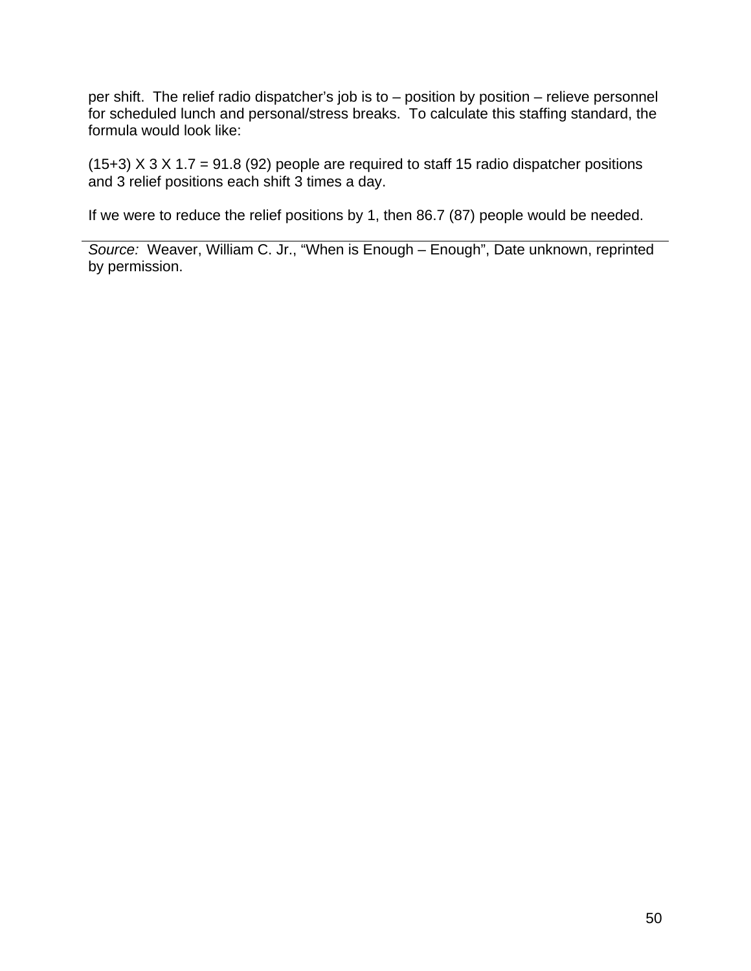per shift. The relief radio dispatcher's job is to – position by position – relieve personnel for scheduled lunch and personal/stress breaks. To calculate this staffing standard, the formula would look like:

(15+3)  $X$  3  $X$  1.7 = 91.8 (92) people are required to staff 15 radio dispatcher positions and 3 relief positions each shift 3 times a day.

If we were to reduce the relief positions by 1, then 86.7 (87) people would be needed.

*Source:* Weaver, William C. Jr., "When is Enough – Enough", Date unknown, reprinted by permission.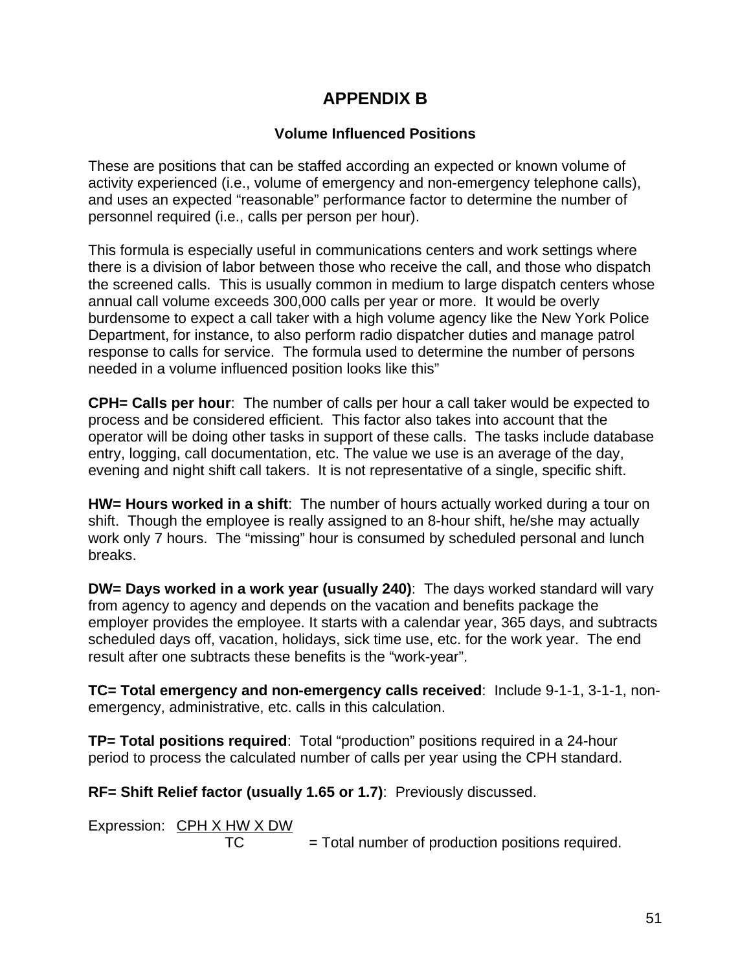# **APPENDIX B**

## **Volume Influenced Positions**

These are positions that can be staffed according an expected or known volume of activity experienced (i.e., volume of emergency and non-emergency telephone calls), and uses an expected "reasonable" performance factor to determine the number of personnel required (i.e., calls per person per hour).

This formula is especially useful in communications centers and work settings where there is a division of labor between those who receive the call, and those who dispatch the screened calls. This is usually common in medium to large dispatch centers whose annual call volume exceeds 300,000 calls per year or more. It would be overly burdensome to expect a call taker with a high volume agency like the New York Police Department, for instance, to also perform radio dispatcher duties and manage patrol response to calls for service. The formula used to determine the number of persons needed in a volume influenced position looks like this"

**CPH= Calls per hour**: The number of calls per hour a call taker would be expected to process and be considered efficient. This factor also takes into account that the operator will be doing other tasks in support of these calls. The tasks include database entry, logging, call documentation, etc. The value we use is an average of the day, evening and night shift call takers. It is not representative of a single, specific shift.

**HW= Hours worked in a shift**: The number of hours actually worked during a tour on shift. Though the employee is really assigned to an 8-hour shift, he/she may actually work only 7 hours. The "missing" hour is consumed by scheduled personal and lunch breaks.

**DW= Days worked in a work year (usually 240)**: The days worked standard will vary from agency to agency and depends on the vacation and benefits package the employer provides the employee. It starts with a calendar year, 365 days, and subtracts scheduled days off, vacation, holidays, sick time use, etc. for the work year. The end result after one subtracts these benefits is the "work-year".

**TC= Total emergency and non-emergency calls received**: Include 9-1-1, 3-1-1, nonemergency, administrative, etc. calls in this calculation.

**TP= Total positions required**: Total "production" positions required in a 24-hour period to process the calculated number of calls per year using the CPH standard.

**RF= Shift Relief factor (usually 1.65 or 1.7)**: Previously discussed.

Expression: CPH X HW X DW  $TC = Total number of production positions required.$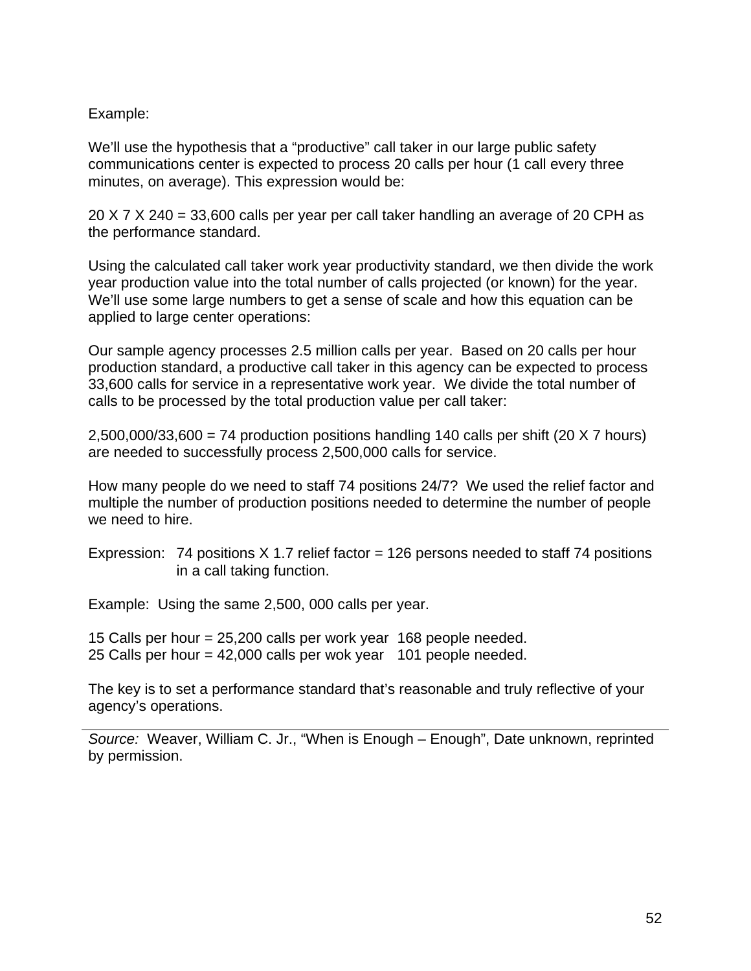### Example:

We'll use the hypothesis that a "productive" call taker in our large public safety communications center is expected to process 20 calls per hour (1 call every three minutes, on average). This expression would be:

20 X 7 X 240 = 33,600 calls per year per call taker handling an average of 20 CPH as the performance standard.

Using the calculated call taker work year productivity standard, we then divide the work year production value into the total number of calls projected (or known) for the year. We'll use some large numbers to get a sense of scale and how this equation can be applied to large center operations:

Our sample agency processes 2.5 million calls per year. Based on 20 calls per hour production standard, a productive call taker in this agency can be expected to process 33,600 calls for service in a representative work year. We divide the total number of calls to be processed by the total production value per call taker:

 $2,500,000/33,600 = 74$  production positions handling 140 calls per shift (20 X 7 hours) are needed to successfully process 2,500,000 calls for service.

How many people do we need to staff 74 positions 24/7? We used the relief factor and multiple the number of production positions needed to determine the number of people we need to hire.

Expression: 74 positions  $X$  1.7 relief factor = 126 persons needed to staff 74 positions in a call taking function.

Example: Using the same 2,500, 000 calls per year.

15 Calls per hour = 25,200 calls per work year 168 people needed. 25 Calls per hour = 42,000 calls per wok year 101 people needed.

The key is to set a performance standard that's reasonable and truly reflective of your agency's operations.

*Source:* Weaver, William C. Jr., "When is Enough – Enough", Date unknown, reprinted by permission.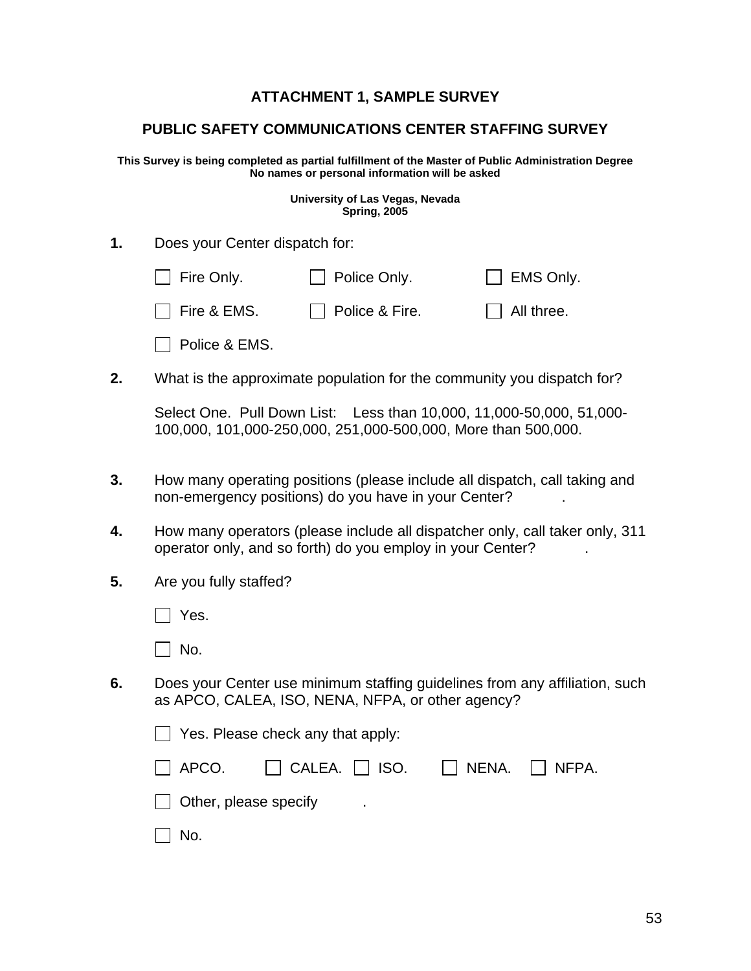# **ATTACHMENT 1, SAMPLE SURVEY**

### **PUBLIC SAFETY COMMUNICATIONS CENTER STAFFING SURVEY**

**This Survey is being completed as partial fulfillment of the Master of Public Administration Degree No names or personal information will be asked**

> **University of Las Vegas, Nevada Spring, 2005**

| 1. | Does your Center dispatch for:    |                                                                                                                                       |                                                                              |
|----|-----------------------------------|---------------------------------------------------------------------------------------------------------------------------------------|------------------------------------------------------------------------------|
|    | Fire Only.                        | Police Only.                                                                                                                          | EMS Only.                                                                    |
|    | Fire & EMS.                       | Police & Fire.                                                                                                                        | All three.                                                                   |
|    | Police & EMS.                     |                                                                                                                                       |                                                                              |
| 2. |                                   | What is the approximate population for the community you dispatch for?                                                                |                                                                              |
|    |                                   | Select One. Pull Down List: Less than 10,000, 11,000-50,000, 51,000-<br>100,000, 101,000-250,000, 251,000-500,000, More than 500,000. |                                                                              |
| 3. |                                   | How many operating positions (please include all dispatch, call taking and<br>non-emergency positions) do you have in your Center?    |                                                                              |
| 4. |                                   | operator only, and so forth) do you employ in your Center?                                                                            | How many operators (please include all dispatcher only, call taker only, 311 |
| 5. | Are you fully staffed?            |                                                                                                                                       |                                                                              |
|    | Yes.                              |                                                                                                                                       |                                                                              |
|    | No.                               |                                                                                                                                       |                                                                              |
| 6. |                                   | as APCO, CALEA, ISO, NENA, NFPA, or other agency?                                                                                     | Does your Center use minimum staffing guidelines from any affiliation, such  |
|    | Yes. Please check any that apply: |                                                                                                                                       |                                                                              |
|    | APCO.                             | CALEA.<br>ISO.                                                                                                                        | NENA.<br>NFPA.                                                               |
|    | Other, please specify             |                                                                                                                                       |                                                                              |
|    | No.                               |                                                                                                                                       |                                                                              |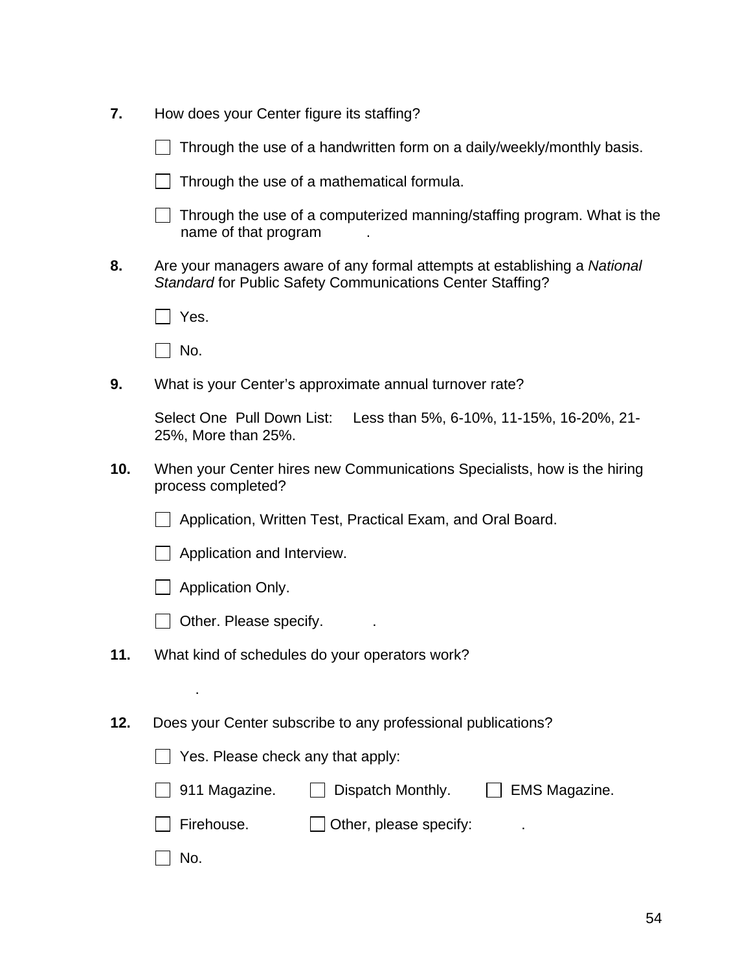| 7.  | How does your Center figure its staffing?                                                                                               |
|-----|-----------------------------------------------------------------------------------------------------------------------------------------|
|     | Through the use of a handwritten form on a daily/weekly/monthly basis.                                                                  |
|     | Through the use of a mathematical formula.                                                                                              |
|     | Through the use of a computerized manning/staffing program. What is the<br>name of that program                                         |
| 8.  | Are your managers aware of any formal attempts at establishing a National<br>Standard for Public Safety Communications Center Staffing? |
|     | Yes.                                                                                                                                    |
|     | No.                                                                                                                                     |
| 9.  | What is your Center's approximate annual turnover rate?                                                                                 |
|     | Select One Pull Down List:<br>Less than 5%, 6-10%, 11-15%, 16-20%, 21-<br>25%, More than 25%.                                           |
| 10. | When your Center hires new Communications Specialists, how is the hiring<br>process completed?                                          |
|     | Application, Written Test, Practical Exam, and Oral Board.                                                                              |
|     | Application and Interview.                                                                                                              |
|     | Application Only.                                                                                                                       |
|     | Other. Please specify.                                                                                                                  |
| 11. | What kind of schedules do your operators work?                                                                                          |
|     |                                                                                                                                         |
| 12. | Does your Center subscribe to any professional publications?                                                                            |
|     | Yes. Please check any that apply:                                                                                                       |
|     | 911 Magazine.<br>Dispatch Monthly.<br><b>EMS Magazine.</b>                                                                              |
|     | Firehouse.<br>Other, please specify:                                                                                                    |
|     | No.                                                                                                                                     |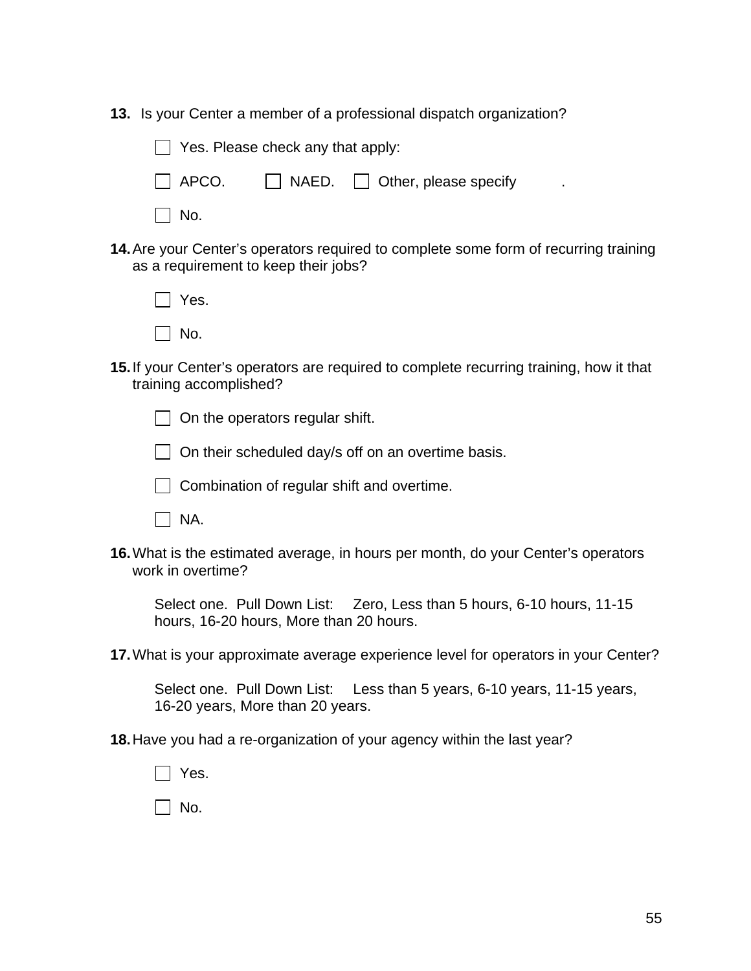**13.** Is your Center a member of a professional dispatch organization?

| Yes. Please check any that apply: |                                                        |  |
|-----------------------------------|--------------------------------------------------------|--|
|                                   | $\Box$ APCO. $\Box$ NAED. $\Box$ Other, please specify |  |
| $\vert$ $\vert$ No.               |                                                        |  |

**14.**Are your Center's operators required to complete some form of recurring training as a requirement to keep their jobs?

| Yes. |
|------|
| No.  |

**15.**If your Center's operators are required to complete recurring training, how it that training accomplished?

 $\Box$  On the operators regular shift.



- $\Box$  Combination of regular shift and overtime.
- $\Box$  NA.
- **16.**What is the estimated average, in hours per month, do your Center's operators work in overtime?

Select one. Pull Down List: Zero, Less than 5 hours, 6-10 hours, 11-15 hours, 16-20 hours, More than 20 hours.

**17.**What is your approximate average experience level for operators in your Center?

Select one. Pull Down List: Less than 5 years, 6-10 years, 11-15 years, 16-20 years, More than 20 years.

**18.**Have you had a re-organization of your agency within the last year?

 $\Box$  Yes.

 $\Box$  No.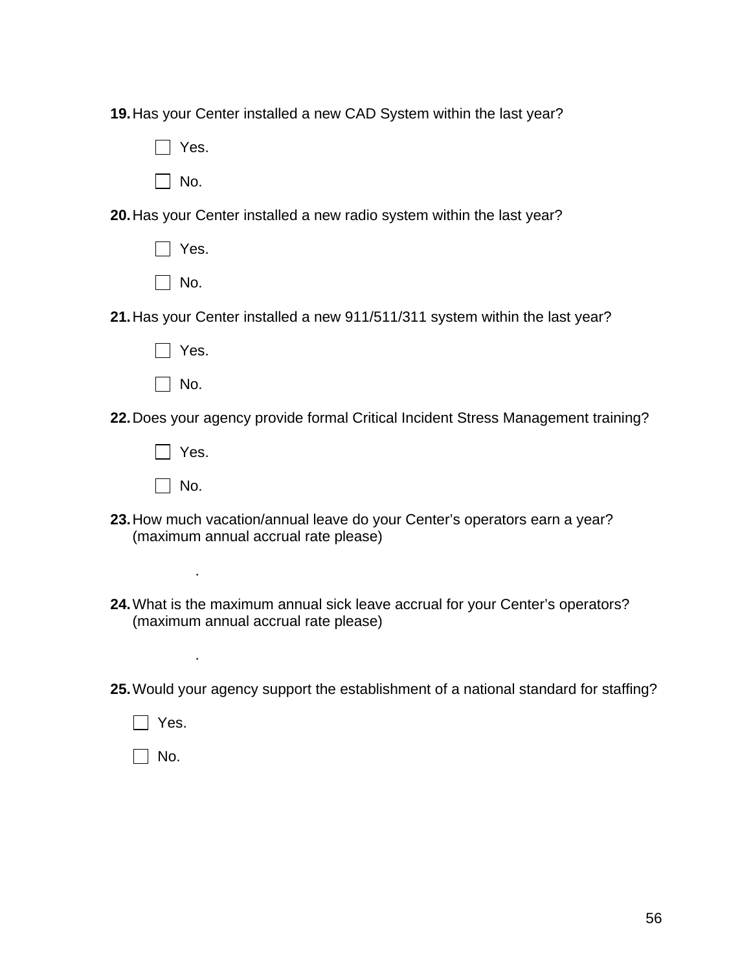**19.**Has your Center installed a new CAD System within the last year?

Yes.

 $\Box$  No.

**20.**Has your Center installed a new radio system within the last year?

| Yes. |
|------|
| No.  |

**21.**Has your Center installed a new 911/511/311 system within the last year?

- Yes.
- $\Box$  No.

**22.**Does your agency provide formal Critical Incident Stress Management training?

 $\Box$  No.

.

.

- **23.**How much vacation/annual leave do your Center's operators earn a year? (maximum annual accrual rate please)
- **24.**What is the maximum annual sick leave accrual for your Center's operators? (maximum annual accrual rate please)

**25.**Would your agency support the establishment of a national standard for staffing?

 $\Box$  Yes.

 $\Box$  No.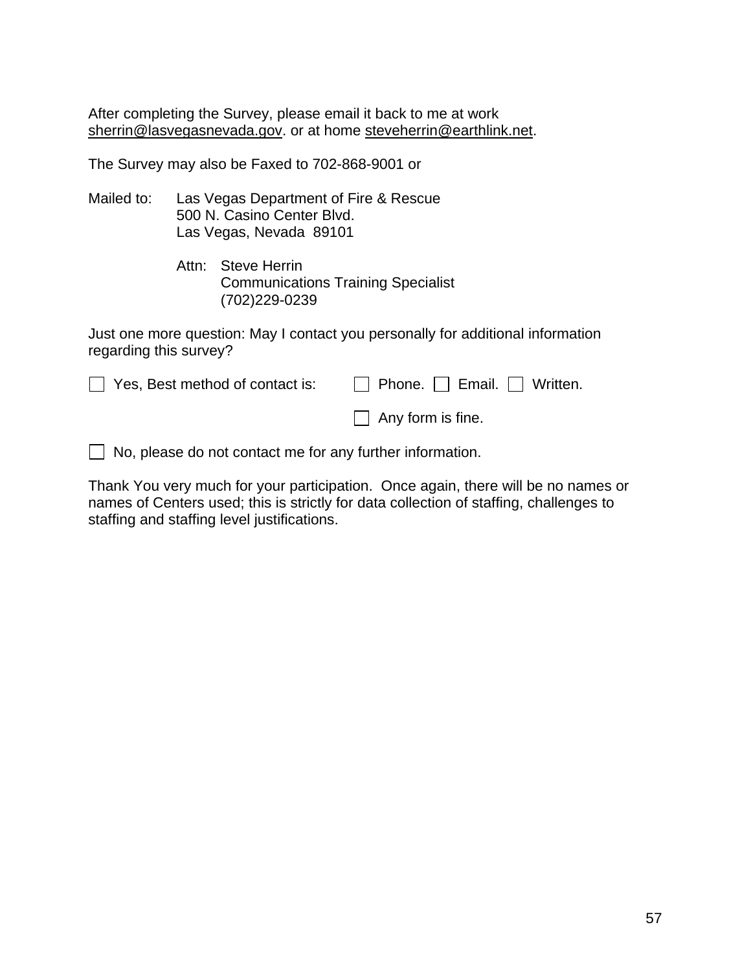After completing the Survey, please email it back to me at work [sherrin@lasvegasnevada.gov.](mailto:sherrin@lasvegasnevada.gov) or at home [steveherrin@earthlink.net.](mailto:steveherrin@earthlink.net)

The Survey may also be Faxed to 702-868-9001 or

- Mailed to: Las Vegas Department of Fire & Rescue 500 N. Casino Center Blvd. Las Vegas, Nevada 89101
	- Attn: Steve Herrin Communications Training Specialist (702)229-0239

Just one more question: May I contact you personally for additional information regarding this survey?

| $\Box$ Yes, Best method of contact is: | $\Box$ Phone. $\Box$ Email. $\Box$ Written. |
|----------------------------------------|---------------------------------------------|
|                                        | $\Box$ Any form is fine.                    |

 $\Box$  No, please do not contact me for any further information.

Thank You very much for your participation. Once again, there will be no names or names of Centers used; this is strictly for data collection of staffing, challenges to staffing and staffing level justifications.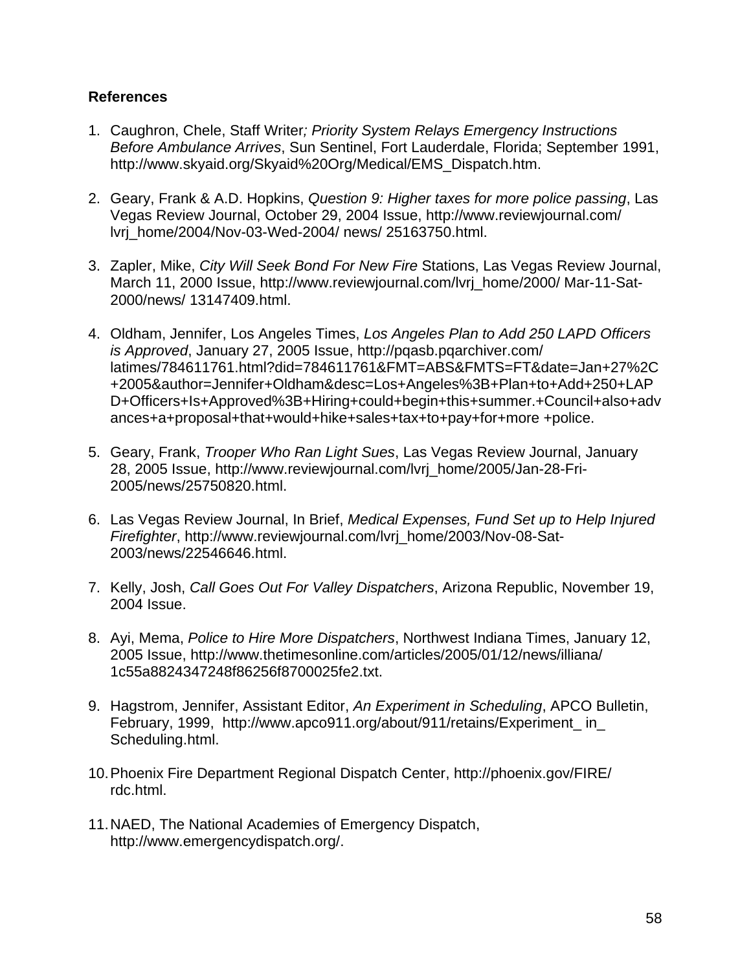### **References**

- 1. Caughron, Chele, Staff Writer*; Priority System Relays Emergency Instructions Before Ambulance Arrives*, Sun Sentinel, Fort Lauderdale, Florida; September 1991, http://www.skyaid.org/Skyaid%20Org/Medical/EMS\_Dispatch.htm.
- 2. Geary, Frank & A.D. Hopkins, *Question 9: Higher taxes for more police passing*, Las Vegas Review Journal, October 29, 2004 Issue, [http://www.reviewjournal.com/](http://www.reviewjournal.com/%20lvrj_home/2004/Nov-03-Wed-2004/%20news/%2025163750.html)  [lvrj\\_home/2004/Nov-03-Wed-2004/ news/ 25163750.html.](http://www.reviewjournal.com/%20lvrj_home/2004/Nov-03-Wed-2004/%20news/%2025163750.html)
- 3. Zapler, Mike, *City Will Seek Bond For New Fire* Stations, Las Vegas Review Journal, March 11, 2000 Issue, [http://www.reviewjournal.com/lvrj\\_home/2000/ Mar-11-Sat-](http://www.reviewjournal.com/lvrj_home/2000/%20Mar-11-Sat-2000/news/%2013147409.html)[2000/news/ 13147409.html.](http://www.reviewjournal.com/lvrj_home/2000/%20Mar-11-Sat-2000/news/%2013147409.html)
- 4. Oldham, Jennifer, Los Angeles Times, *Los Angeles Plan to Add 250 LAPD Officers is Approved*, January 27, 2005 Issue,<http://pqasb.pqarchiver.com/> latimes/784611761.html?did=784611761&FMT=ABS&FMTS=FT&date=Jan+27%2C +2005&author=Jennifer+Oldham&desc=Los+Angeles%3B+Plan+to+Add+250+LAP D+Officers+Is+Approved%3B+Hiring+could+begin+this+summer.+Council+also+adv ances+a+proposal+that+would+hike+sales+tax+to+pay+for+more +police.
- 5. Geary, Frank, *Trooper Who Ran Light Sues*, Las Vegas Review Journal, January 28, 2005 Issue, [http://www.reviewjournal.com/lvrj\\_home/2005/J](http://www.reviewjournal.com/lvrj_home/2005/)an-28-Fri-2005/news/25750820.html.
- 6. Las Vegas Review Journal, In Brief, *Medical Expenses, Fund Set up to Help Injured Firefighter*, [http://www.reviewjournal.com/lvrj\\_home/2003/Nov-08-Sat-](http://www.reviewjournal.com/lvrj_home/2003/Nov-08-Sat-2003/news/22546646.html)[2003/news/22546646.html.](http://www.reviewjournal.com/lvrj_home/2003/Nov-08-Sat-2003/news/22546646.html)
- 7. Kelly, Josh, *Call Goes Out For Valley Dispatchers*, Arizona Republic, November 19, 2004 Issue.
- 8. Ayi, Mema, *Police to Hire More Dispatchers*, Northwest Indiana Times, January 12, 2005 Issue, [http://www.thetimesonline.com/articles/2005/01/12/n](http://www.thetimesonline.com/articles/2005/01/12/)ews/illiana/ 1c55a8824347248f86256f8700025fe2.txt.
- 9. Hagstrom, Jennifer, Assistant Editor, *An Experiment in Scheduling*, APCO Bulletin, February, 1999, [http://www.apco911.org/about/911/retains/Experiment\\_ in\\_](http://www.apco911.org/about/911/retains/Experiment_%20in_%20Scheduling.html)  [Scheduling.html.](http://www.apco911.org/about/911/retains/Experiment_%20in_%20Scheduling.html)
- 10.Phoenix Fire Department Regional Dispatch Center, [http://phoenix.gov/F](http://phoenix.gov/)IRE/ rdc.html.
- 11.NAED, The National Academies of Emergency Dispatch, [http://www.emergencydispatch.org/.](http://www.emergencydispatch.org/)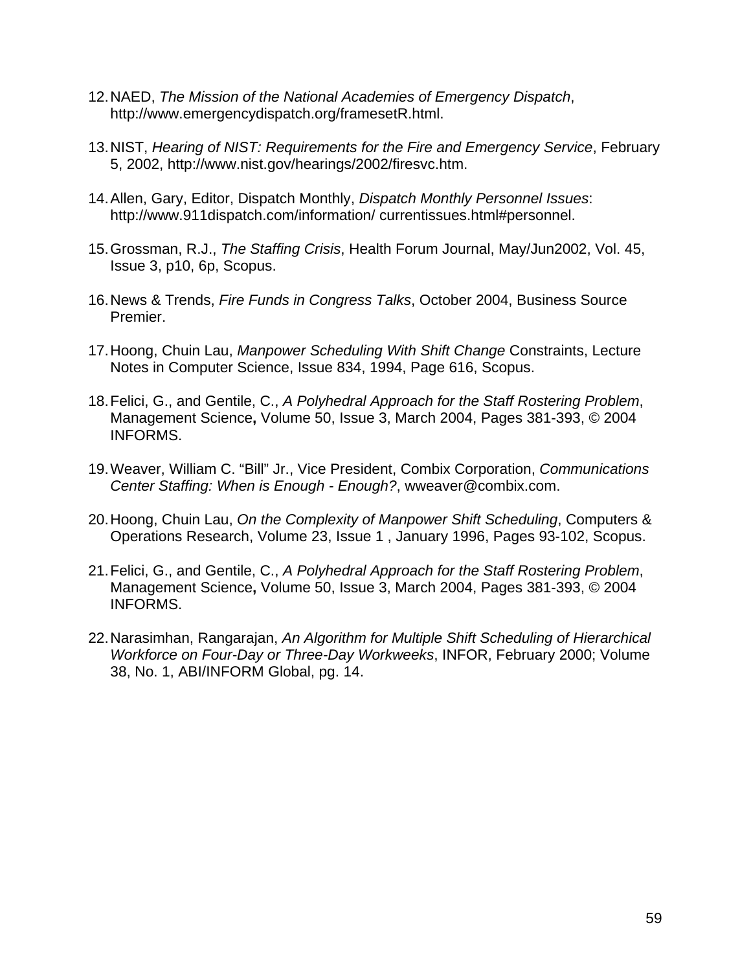- 12.NAED, *The Mission of the National Academies of Emergency Dispatch*, [http://www.emergencydispatch.org/framesetR.html.](http://www.emergencydispatch.org/framesetR.html)
- 13.NIST, *Hearing of NIST: Requirements for the Fire and Emergency Service*, February 5, 2002, [http://www.nist.gov/hearings/2002/firesvc.htm.](http://www.nist.gov/hearings/2002/firesvc.htm)
- 14.Allen, Gary, Editor, Dispatch Monthly, *Dispatch Monthly Personnel Issues*: <http://www.911dispatch.com/information/> currentissues.html#personnel.
- 15.Grossman, R.J., *The Staffing Crisis*, Health Forum Journal, May/Jun2002, Vol. 45, Issue 3, p10, 6p, Scopus.
- 16.News & Trends, *Fire Funds in Congress Talks*, October 2004, Business Source Premier.
- 17.Hoong, Chuin Lau, *Manpower Scheduling With Shift Change* Constraints, Lecture Notes in Computer Science, Issue 834, 1994, Page 616, Scopus.
- 18.Felici, G., and Gentile, C., *A Polyhedral Approach for the Staff Rostering Problem*, [Management Science](http://www.scopus.com.ezproxy.library.unlv.edu:810/scopus/source/sourceInfo.url?sourceId=244f5339e880c5720e23b8dd290d2f14)**,** Volume 50, Issue 3, March 2004, Pages 381-393, © 2004 INFORMS.
- 19.Weaver, William C. "Bill" Jr., Vice President, Combix Corporation, *Communications Center Staffing: When is Enough - Enough?*, [wweaver@combix.com.](mailto:wweaver@combix.com)
- 20.Hoong, Chuin Lau, *On the Complexity of Manpower Shift Scheduling*, [Computers &](http://www.sciencedirect.com.ezproxy.library.unlv.edu:810/science?_ob=JournalURL&_cdi=5945&_auth=y&_acct=C000023038&_version=1&_urlVersion=0&_userid=516213&md5=1d3a0cd17f4f18ff7fe5031e0bdea584)  [Operations Research, Volume 23, Issue 1](http://www.sciencedirect.com.ezproxy.library.unlv.edu:810/science?_ob=JournalURL&_cdi=5945&_auth=y&_acct=C000023038&_version=1&_urlVersion=0&_userid=516213&md5=1d3a0cd17f4f18ff7fe5031e0bdea584) , January 1996, Pages 93-102, Scopus.
- 21.Felici, G., and Gentile, C., *A Polyhedral Approach for the Staff Rostering Problem*, [Management Science](http://www.scopus.com.ezproxy.library.unlv.edu:810/scopus/source/sourceInfo.url?sourceId=244f5339e880c5720e23b8dd290d2f14)**,** Volume 50, Issue 3, March 2004, Pages 381-393, © 2004 INFORMS.
- 22.Narasimhan, Rangarajan, *An Algorithm for Multiple Shift Scheduling of Hierarchical Workforce on Four-Day or Three-Day Workweeks*, INFOR, February 2000; Volume 38, No. 1, ABI/INFORM Global, pg. 14.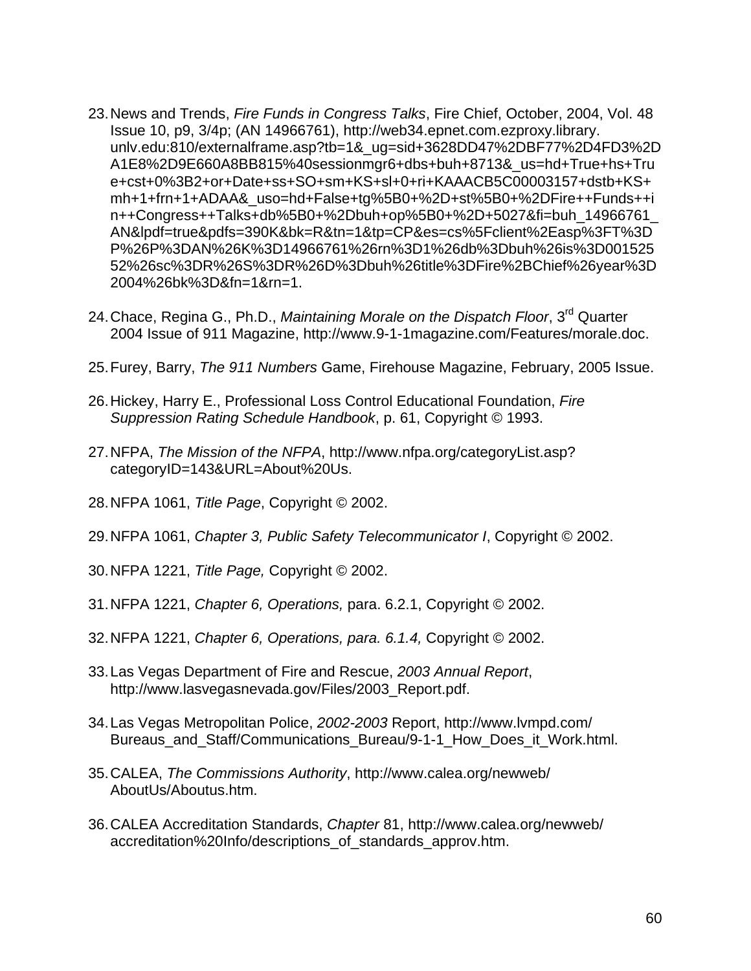- 23.News and Trends, *Fire Funds in Congress Talks*, Fire Chief, October, 2004, Vol. 48 Issue 10, p9, 3/4p; (AN 14966761), [http://web34.epnet.com.ezproxy.library.](http://web34.epnet.com.ezproxy.library/) unlv.edu:810/externalframe.asp?tb=1&\_ug=sid+3628DD47%2DBF77%2D4FD3%2D A1E8%2D9E660A8BB815%40sessionmgr6+dbs+buh+8713&\_us=hd+True+hs+Tru e+cst+0%3B2+or+Date+ss+SO+sm+KS+sl+0+ri+KAAACB5C00003157+dstb+KS+ mh+1+frn+1+ADAA&\_uso=hd+False+tg%5B0+%2D+st%5B0+%2DFire++Funds++i n++Congress++Talks+db%5B0+%2Dbuh+op%5B0+%2D+5027&fi=buh\_14966761\_ AN&lpdf=true&pdfs=390K&bk=R&tn=1&tp=CP&es=cs%5Fclient%2Easp%3FT%3D P%26P%3DAN%26K%3D14966761%26rn%3D1%26db%3Dbuh%26is%3D001525 52%26sc%3DR%26S%3DR%26D%3Dbuh%26title%3DFire%2BChief%26year%3D 2004%26bk%3D&fn=1&rn=1.
- 24.Chace, Regina G., Ph.D., *Maintaining Morale on the Dispatch Floor*, 3rd Quarter 2004 Issue of 911 Magazine, [http://www.9-1-1magazine.com/Features/morale.doc.](http://www.9-1-1magazine.com/Features/morale.doc)
- 25.Furey, Barry, *The 911 Numbers* Game, Firehouse Magazine, February, 2005 Issue.
- 26.Hickey, Harry E., Professional Loss Control Educational Foundation, *Fire Suppression Rating Schedule Handbook*, p. 61, Copyright © 1993.
- 27.NFPA, *The Mission of the NFPA*, [http://www.nfpa.org/categoryList.asp?](http://www.nfpa.org/categoryList.asp?%20categoryID=143&URL=About%20Us)  [categoryID=143&URL=About%20Us.](http://www.nfpa.org/categoryList.asp?%20categoryID=143&URL=About%20Us)
- 28.NFPA 1061, *Title Page*, Copyright © 2002.
- 29.NFPA 1061, *Chapter 3, Public Safety Telecommunicator I*, Copyright © 2002.
- 30.NFPA 1221, *Title Page,* Copyright © 2002.
- 31.NFPA 1221, *Chapter 6, Operations,* para. 6.2.1, Copyright © 2002.
- 32.NFPA 1221, *Chapter 6, Operations, para. 6.1.4,* Copyright © 2002.
- 33.Las Vegas Department of Fire and Rescue, *2003 Annual Report*, [http://www.lasvegasnevada.gov/Files/2003\\_Report.pdf.](http://www.lasvegasnevada.gov/Files/2003_Report.pdf)
- 34.Las Vegas Metropolitan Police, *2002-2003* Report,<http://www.lvmpd.com/> Bureaus and Staff/Communications Bureau/9-1-1 How Does it Work.html.
- 35.CALEA, *The Commissions Authority*, [http://www.calea.org/newweb/](http://www.calea.org/newweb/%20AboutUs/Aboutus.htm)  [AboutUs/Aboutus.htm.](http://www.calea.org/newweb/%20AboutUs/Aboutus.htm)
- 36.CALEA Accreditation Standards, *Chapter* 81,<http://www.calea.org/newweb/> accreditation%20Info/descriptions\_of\_standards\_approv.htm.